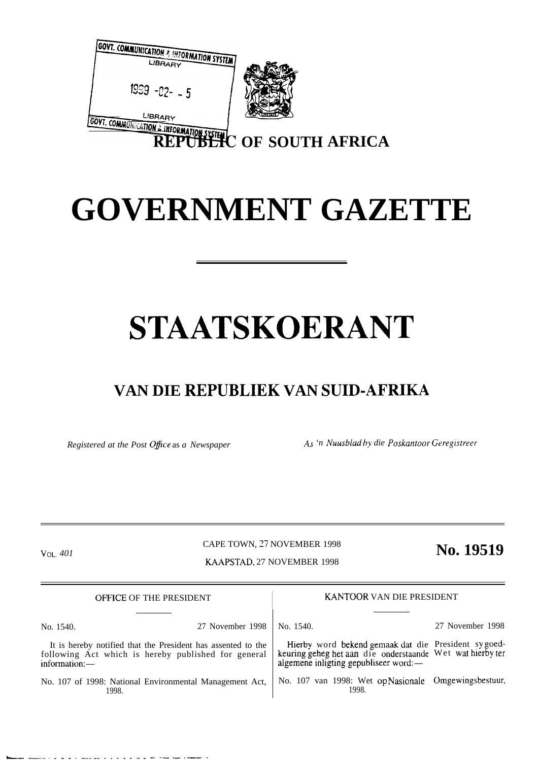| <b>GOVT. COMMUNICATION &amp; INFORMATION SYSTEM</b><br>LIBRARY |                                            |
|----------------------------------------------------------------|--------------------------------------------|
| $1959 - 02 - 5$                                                |                                            |
| LIBRARY                                                        |                                            |
|                                                                | GOVT. COMMUNICATION & INFORMATION SUPERICA |

## **GOVERNMENT GAZETTE**

# **STAATSKOERANT**

## **VAN DIE REPUBLIEK VAN SUID-AFRIKA**

*Registered at the Post Ofice* as *a Newspaper AS 'n Nuusblad by die Poskantoor Geregistreer*

-— —... . . . . —....–- . . . . . . . - .-—.—.—— .

CAPE TOWN, 27 NOVEMBER 1998 VOL. 401 **No. 19519** KAAPSTAD, 27 NOVEMBER 1998

OFFICE OF THE PRESIDENT KANTOOR VAN DIE PRESIDENT No. 1540. 27 November 1998 No. 1540. It is hereby notified that the President has assented to the following Act which is hereby published for general information:— algemene inligting gepubliseer word:-No. 107 of 1998: National Environmental Management Act, No. 107 van 1998: W<br>1998. 1998. 1998. 1998. 27 November 1998 Hierby word bekend gemaak dat die President sy goedkeuring geheg het aan die onderstaande Wet wat hierby ter No. 107 van 1998: Wet op Nasionale Omgewingsbestuur,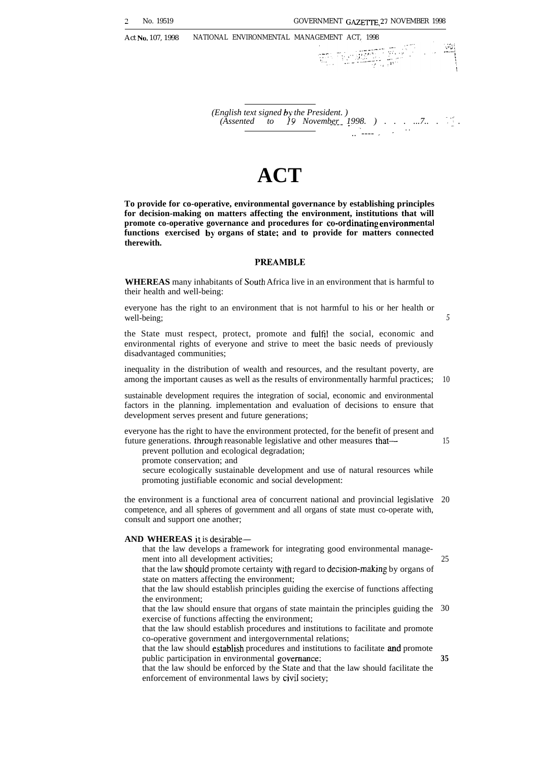**THE REPORT** 

Act No. 107, 1998 NATIONAL ENVIRONMENTAL MANAGEMENT ACT, 1998

## *(Assented to 19 November 1998. ) . . . ...7.. . '. ~ . ---- -, . . .. ---- ,'*

## **ACT**

*(English text signed by the President. )*

**To provide for co-operative, environmental governance by establishing principles for decision-making on matters affecting the environment, institutions that will** promote co-operative governance and procedures for co-ordinating environmental **functions exercised by organs of stite; and to provide for matters connected therewith.**

#### **PREAMBLE**

**WHEREAS** many inhabitants of South Africa live in an environment that is harmful to their health and well-being:

everyone has the right to an environment that is not harmful to his or her health or well-being;

the State must respect, protect, promote and fulfil the social, economic and environmental rights of everyone and strive to meet the basic needs of previously disadvantaged communities;

inequality in the distribution of wealth and resources, and the resultant poverty, are among the important causes as well as the results of environmentally harmful practices; 10

sustainable development requires the integration of social, economic and environmental factors in the planning. implementation and evaluation of decisions to ensure that development serves present and future generations;

everyone has the right to have the environment protected, for the benefit of present and future generations. through reasonable legislative and other measures that— 15

prevent pollution and ecological degradation;

promote conservation; and

secure ecologically sustainable development and use of natural resources while promoting justifiable economic and social development:

the environment is a functional area of concurrent national and provincial legislative 20 competence, and all spheres of government and all organs of state must co-operate with, consult and support one another;

#### **AND WHEREAS** it is desirable—

- that the law develops a framework for integrating good environmental management into all development activities;
- that the law should promote certainty with regard to decision-making by organs of state on matters affecting the environment;
- that the law should establish principles guiding the exercise of functions affecting the environment;
- that the law should ensure that organs of state maintain the principles guiding the exercise of functions affecting the environment; 30

that the law should establish procedures and institutions to facilitate and promote co-operative government and intergovernmental relations;

that the law should establish procedures and institutions to facilitate and promote public participation in environmental governance;

that the law should be enforced by the State and that the law should facilitate the enforcement of environmental laws by civil society;

**35**

25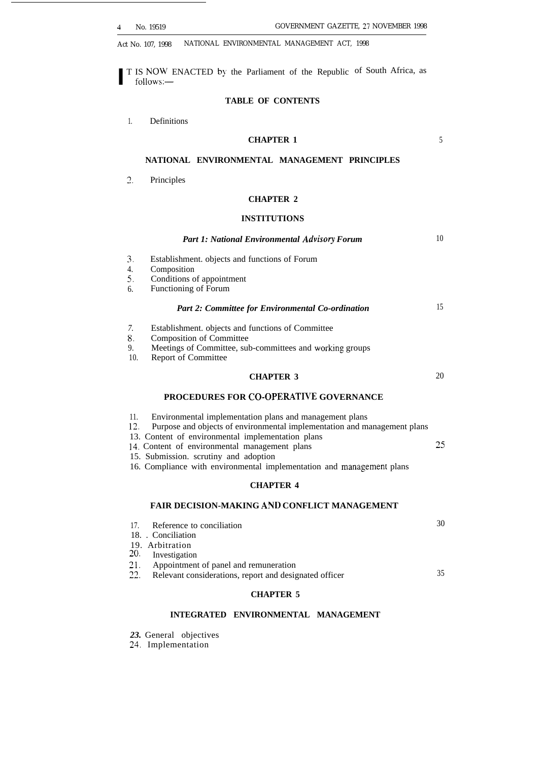**I**T IS NOW ENACTED by the Parliament of the Republic of South Africa, as follows: follows:—

#### **TABLE OF CONTENTS**

1. Definitions

#### **CHAPTER 1**

#### **NATIONAL ENVIRONMENTAL MANAGEMENT PRINCIPLES**

**?-.** Principles

#### **CHAPTER 2**

#### **INSTITUTIONS**

| <b>Part 1: National Environmental Advisory Forum</b> |  |
|------------------------------------------------------|--|
|------------------------------------------------------|--|

- 3, Establishment. objects and functions of Forum
- 4. Composition
- 5. Conditions of appointment
- 6. Functioning of Forum

#### *Part 2: Committee for Environmental Co-ordination*

- *7.* Establishment. objects and functions of Committee
- 8. Composition of Committee
- 9. Meetings of Committee, sub-committees and working groups
- 10. Report of Committee

#### **CHAPTER 3**

20

5

10

15

#### PROCEDURES FOR CO-OPERATIVE GOVERNANCE

- 11. Environmental implementation plans and management plans 12, Purpose and objects of environmental implementation and management plans 13. Content of environmental implementation plans 14. Content of environmental management plans 25 15. Submission. scrutiny and adoption 16. Compliance with environmental implementation and management plans **CHAPTER 4 FAIR DECISION-MAKING AND CONFLICT MANAGEMENT** 17. Reference to conciliation 30
- 
- 18. . Conciliation
- 19. Arbitration
- 20. Investigation
- 21. Appointment of panel and remuneration<br>22. Relevant considerations, report and design
- Relevant considerations, report and designated officer 35

#### **CHAPTER 5**

#### **INTEGRATED ENVIRONMENTAL MANAGEMENT**

- *23.* General objectives
- 24, Implementation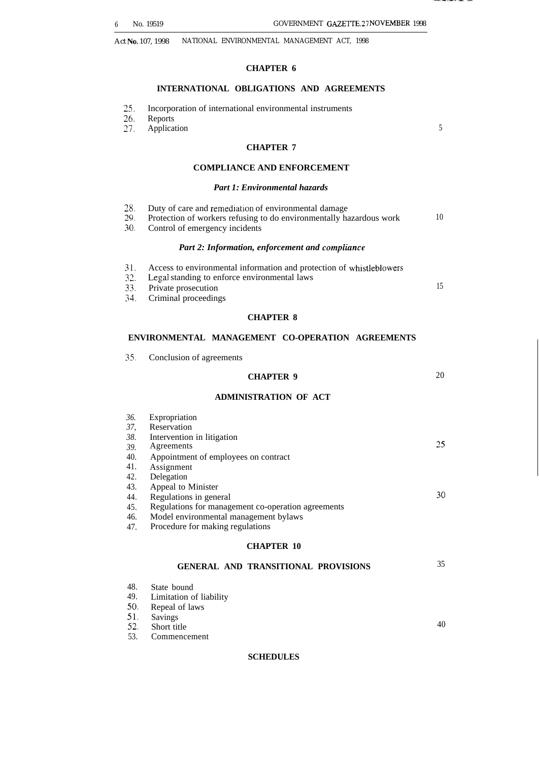5

40

Act No. 107, 1998 NATIONAL ENVIRONMENTAL MANAGEMENT ACT, 1998

#### **CHAPTER 6**

#### **INTERNATIONAL OBLIGATIONS AND AGREEMENTS**

- 25. Incorporation of international environmental instruments
- *26.* Reports
- *27.* Application

#### **CHAPTER 7**

#### **COMPLIANCE AND ENFORCEMENT**

### *Part 1: Environmental hazards*

| Part 1: Environmentai nazaras                    |                                                                                                                                                                                 |    |  |  |  |
|--------------------------------------------------|---------------------------------------------------------------------------------------------------------------------------------------------------------------------------------|----|--|--|--|
| 28.<br>29.<br>30.                                | Duty of care and remediation of environmental damage<br>Protection of workers refusing to do environmentally hazardous work<br>Control of emergency incidents                   | 10 |  |  |  |
|                                                  | Part 2: Information, enforcement and compliance                                                                                                                                 |    |  |  |  |
| 31.<br>32.<br>33.<br>34.                         | Access to environmental information and protection of whistleblowers<br>Legal standing to enforce environmental laws<br>Private prosecution<br>Criminal proceedings             | 15 |  |  |  |
|                                                  | <b>CHAPTER 8</b>                                                                                                                                                                |    |  |  |  |
|                                                  | ENVIRONMENTAL MANAGEMENT CO-OPERATION AGREEMENTS                                                                                                                                |    |  |  |  |
| 35.                                              | Conclusion of agreements                                                                                                                                                        |    |  |  |  |
|                                                  | <b>CHAPTER 9</b>                                                                                                                                                                | 20 |  |  |  |
| <b>ADMINISTRATION OF ACT</b>                     |                                                                                                                                                                                 |    |  |  |  |
| 36.<br>37,<br>38.<br>39.<br>40.<br>41.<br>42.    | Expropriation<br>Reservation<br>Intervention in litigation<br>Agreements<br>Appointment of employees on contract<br>Assignment<br>Delegation                                    | 25 |  |  |  |
| 43.<br>44.<br>45.<br>46.<br>47.                  | Appeal to Minister<br>Regulations in general<br>Regulations for management co-operation agreements<br>Model environmental management bylaws<br>Procedure for making regulations | 30 |  |  |  |
| <b>CHAPTER 10</b>                                |                                                                                                                                                                                 |    |  |  |  |
| 35<br><b>GENERAL AND TRANSITIONAL PROVISIONS</b> |                                                                                                                                                                                 |    |  |  |  |
| 48.<br>49.<br>50.                                | State bound<br>Limitation of liability<br>Repeal of laws                                                                                                                        |    |  |  |  |

- 51. Savings
- 52. Short title
- 53. Commencement

#### **SCHEDULES**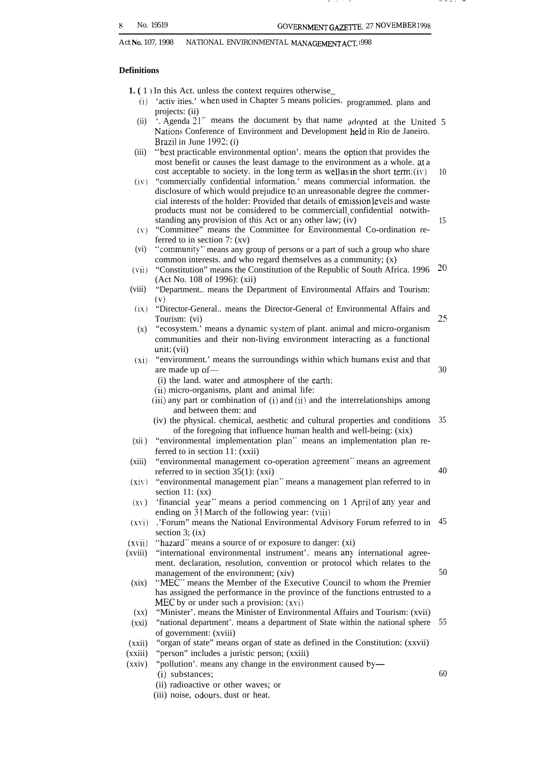#### **Definitions**

**1. (** 1 ) In this Act. unless the context requires otherwise\_

- (i) 'activ ities.' when used in Chapter 5 means policies. programmed. plans and projects: (ii)
- (ii) '. Agenda  $21$ " means the document by that name  $\partial \Omega$  adopted at the United 5 Nations Conference of Environment and Development held in Rio de Janeiro. Brazil in June 1992: (i)
- (iii) "best practicable environmental option'. means the Option that provides the most benefit or causes the least damage to the environment as a whole. at a cost acceptable to society. in the long term as well as in the short term;  $(iv)$
- $(iv)$ "commercially confidential information.' means commercial information. the disclosure of which would prejudice to an unreasonable degree the commercial interests of the holder: Provided that details of emission levels and waste products must not be considered to be commerciall confidential notwithstanding any provision of this Act or any other law; (iv)
- (Y) "Committee" means the Committee for Environmental Co-ordination referred to in section 7: (xv)
- (vi) "community" means any group of persons or a part of such a group who share common interests. and who regard themselves as a community; (x)
- $(vii)$ "Constitution" means the Constitution of the Republic of South Africa. 1996 (Act No. 108 of 1996): (xii)  $20$
- (viii) "Department.. means the Department of Environmental Affairs and Tourism: (v)
	- (ix) "Director-General.. means the Director-General of Environmental Affairs and Tourism: (vi) 25
	- (x) "ecosystem.' means a dynamic system of plant. animal and micro-organism communities and their non-living environment interacting as a functional unit: (vii)
	- $(x_i)$  "environment.' means the surroundings within which humans exist and that are made up of—
		- (i) the land. water and atmosphere of the earth:
		- (ii) micro-organisms, plant and animal life:
		- (iii) any part or combination of (i) and (ii) and the interrelationships among and between them: and
		- (iv) the physical. chemical, aesthetic and cultural properties and conditions 35 of the foregoing that influence human health and well-being: (xix)
- (xii) "environmental implementation plan" means an implementation plan referred to in section 11: (xxii)
- (xiii) "environmental management co-operation agreement" means an agreement referred to in section 35(1): (xxi)
- (xiv) "environmental management plan" means a management plan referred to in section 11:  $(xx)$
- $(xv)$ 'financial year'' means a period commencing on 1 April of any year and ending on 31 March of the following year: (viii)
- (xvi) .'Forum'' means the National Environmental Advisory Forum referred to in 45 section 3: (ix)
- $(xvi)$ "hazard" means a source of or exposure to danger: (xi)
- (xviii) "international environmental instrument'. means any international agreement. declaration, resolution, convention or protocol which relates to the management of the environment; (xiv)
- $(xix)$ "MEC" means the Member of the Executive Council to whom the Premier has assigned the performance in the province of the functions entrusted to a MEC by or under such a provision: (xvi)
- $(xx)$ "Minister'. means the Minister of Environmental Affairs and Tourism: (xvii)
- $(xxi)$ "national department'. means a department of State within the national sphere 55 of government: (xviii)
- $(xxii)$ "organ of state" means organ of state as defined in the Constitution: (xxvii)
- (xxiii) "person" includes a juristic person; (xxiii)
- (xxiv) "pollution'. means any change in the environment caused by—
	- (i) substances;
	- (ii) radioactive or other waves; or
	- (iii) noise, odours, dust or heat.

60

10

15

30

40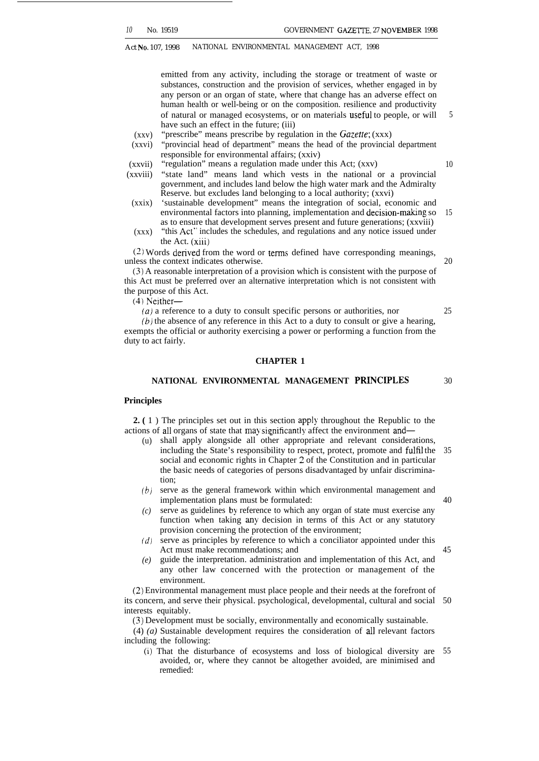emitted from any activity, including the storage or treatment of waste or substances, construction and the provision of services, whether engaged in by any person or an organ of state, where that change has an adverse effect on human health or well-being or on the composition. resilience and productivity of natural or managed ecosystems, or on materials useful to people, or will have such an effect in the future; (iii)

- $(xxy)$ "prescribe" means prescribe by regulation in the  $Gazette$ ; (xxx)
- (xxvi) "provincial head of department" means the head of the provincial department responsible for environmental affairs; (xxiv)
- (xxvii) "regulation" means a regulation made under this Act; (xxv)
- (xxviii) "state land" means land which vests in the national or a provincial government, and includes land below the high water mark and the Admiralty Reserve. but excludes land belonging to a local authority; (xxvi)
- (xxix) 'sustainable development" means the integration of social, economic and environmental factors into planning, implementation and decision-making so as to ensure that development serves present and future generations; (xxviii) 15
- $(xxx)$ "this Act" includes the schedules, and regulations and any notice issued under the Act. (xiii)

 $(2)$  Words derived from the word or terms defined have corresponding meanings, unless the context indicates otherwise.

(3) A reasonable interpretation of a provision which is consistent with the purpose of this Act must be preferred over an alternative interpretation which is not consistent with the purpose of this Act.

*(4)* Neither—

(a) a reference to a duty to consult specific persons or authorities, nor

 $(b)$  the absence of any reference in this Act to a duty to consult or give a hearing, exempts the official or authority exercising a power or performing a function from the duty to act fairly.

#### **CHAPTER 1**

#### **NATIONAL ENVIRONMENTAL MANAGEMENT PRINCIPLES**

#### **Principles**

**2. (** 1 ) The principles set out in this section apply throughout the Republic to the . actions of all organs of state that may significantly affect the environment and—

- (u) shall apply alongside all other appropriate and relevant considerations, including the State's responsibility to respect, protect, promote and fulfil the 35 social and economic rights in Chapter 2 of the Constitution and in particular the basic needs of categories of persons disadvantaged by unfair discrimination;
- *(b)* serve as the general framework within which environmental management and implementation plans must be formulated:
- *(c)* serve as guidelines by reference to which any organ of state must exercise any function when taking any decision in terms of this Act or any statutory provision concerning the protection of the environment;
- *(d)* serve as principles by reference to which a conciliator appointed under this Act must make recommendations; and
- *(e)* guide the interpretation. administration and implementation of this Act, and any other law concerned with the protection or management of the environment.

(2) Environmental management must place people and their needs at the forefront of its concern, and serve their physical. psychological, developmental, cultural and social 50 interests equitably.

(3) Development must be socially, environmentally and economically sustainable.

(4) *(a)* Sustainable development requires the consideration of all relevant factors including the following:

(i) That the disturbance of ecosystems and loss of biological diversity are 55avoided, or, where they cannot be altogether avoided, are minimised and remedied:

10

5

25

30

20

40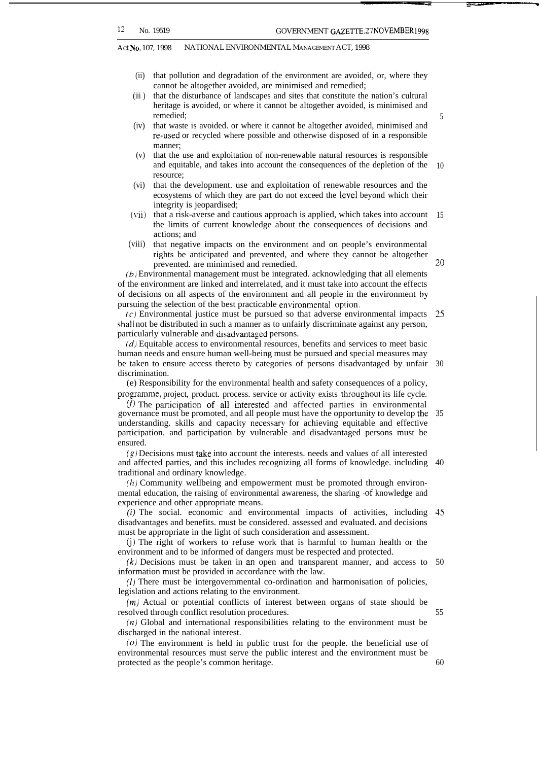- (ii) that pollution and degradation of the environment are avoided, or, where they cannot be altogether avoided, are minimised and remedied;
- $(iii)$ that the disturbance of landscapes and sites that constitute the nation's cultural heritage is avoided, or where it cannot be altogether avoided, is minimised and remedied;
- (iv) that waste is avoided. or where it cannot be altogether avoided, minimised and re-used or recycled where possible and otherwise disposed of in a responsible manner;
- (v) that the use and exploitation of non-renewable natural resources is responsible and equitable, and takes into account the consequences of the depletion of the resource; 10
- (vi) that the development. use and exploitation of renewable resources and the ecosystems of which they are part do not exceed the level beyond which their integrity is jeopardised;
- (vii) that a risk-averse and cautious approach is applied, which takes into account 15 the limits of current knowledge about the consequences of decisions and actions; and
- (viii) that negative impacts on the environment and on people's environmental rights be anticipated and prevented, and where they cannot be altogether prevented. are minimised and remedied.

 $(b)$  Environmental management must be integrated. acknowledging that all elements of the environment are linked and interrelated, and it must take into account the effects of decisions on all aspects of the environment and all people in the environment by pursuing the selection of the best practicable environmental option.

(c) Environmental justice must be pursued so that adverse environmental impacts shall not be distributed in such a manner as to unfairly discriminate against any person, particularly vulnerable and disadvantaged persons. 25

(d) Equitable access to environmental resources, benefits and services to meet basic human needs and ensure human well-being must be pursued and special measures may be taken to ensure access thereto by categories of persons disadvantaged by unfair 30 discrimination.

(e) Responsibility for the environmental health and safety consequences of a policy, programme, project, product. process. service or activity exists throughout its life cycle.

 $(f)$  The participation of all interested and affected parties in environmental governance must be promoted, and all people must have the opportunity to develop the 35 understanding. skills and capacity necessary for achieving equitable and effective participation. and participation by vulnerable and disadvantaged persons must be ensured.

 $(g)$  Decisions must take into account the interests. needs and values of all interested and affected parties, and this includes recognizing all forms of knowledge. including 40 traditional and ordinary knowledge.

 $(h)$  Community wellbeing and empowerment must be promoted through environmental education, the raising of environmental awareness, the sharing of knowledge and experience and other appropriate means.

*(i)* The social. economic and environmental impacts of activities, including disadvantages and benefits. must be considered. assessed and evaluated. and decisions must be appropriate in the light of such consideration and assessment. 45

 $(i)$  The right of workers to refuse work that is harmful to human health or the environment and to be informed of dangers must be respected and protected.

 $(k)$  Decisions must be taken in an open and transparent manner, and access to 50 information must be provided in accordance with the law.

(1) There must be intergovernmental co-ordination and harmonisation of policies, legislation and actions relating to the environment.

*(m)* Actual or potential conflicts of interest between organs of state should be resolved through conflict resolution procedures.

(n) Global and international responsibilities relating to the environment must be discharged in the national interest.

(o) The environment is held in public trust for the people. the beneficial use of environmental resources must serve the public interest and the environment must be protected as the people's common heritage.

~o

5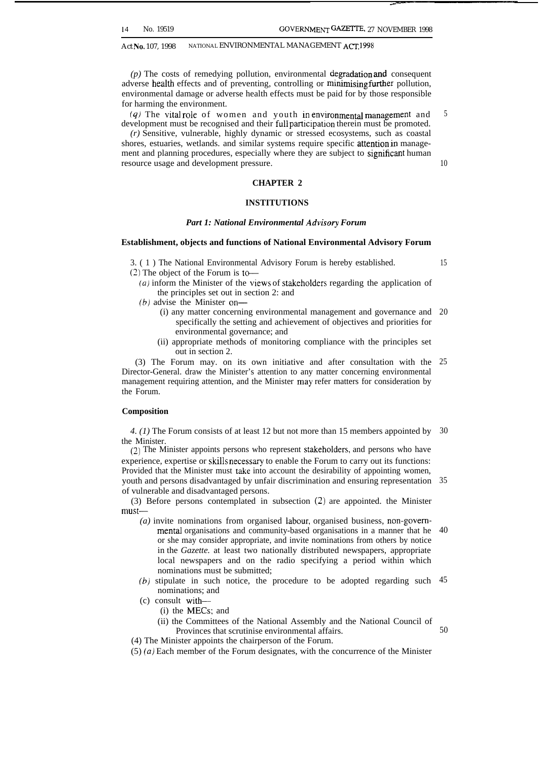$(p)$  The costs of remedying pollution, environmental degradation and consequent adverse health effects and of preventing, controlling or minimising further pollution, environmental damage or adverse health effects must be paid for by those responsible for harming the environment.

(q) The vital role of women and youth in environmental management and development must be recognised and their full participation therein must be promoted.

*(r)* Sensitive, vulnerable, highly dynamic or stressed ecosystems, such as coastal shores, estuaries, wetlands. and similar systems require specific attention in management and planning procedures, especially where they are subject to significant human resource usage and development pressure.

 $1<sub>0</sub>$ 

5

#### **CHAPTER 2**

#### **INSTITUTIONS**

#### *Part 1: National Environmental Advisory Forum*

#### **Establishment, objects and functions of National Environmental Advisory Forum**

3. ( 1 ) The National Environmental Advisory Forum is hereby established.  $(2)$  The object of the Forum is to-

 $(a)$  inform the Minister of the views of stakeholders regarding the application of the principles set out in section 2: and

- $(b)$  advise the Minister on-
	- (i) any matter concerning environmental management and governance and 20 specifically the setting and achievement of objectives and priorities for environmental governance; and
	- (ii) appropriate methods of monitoring compliance with the principles set out in section 2.

(3) The Forum may. on its own initiative and after consultation with the 25 Director-General. draw the Minister's attention to any matter concerning environmental management requiring attention, and the Minister may refer matters for consideration by the Forum.

#### **Composition**

*4. (1)* The Forum consists of at least 12 but not more than 15 members appointed by 30 the Minister.

 $(2)$  The Minister appoints persons who represent stakeholders, and persons who have experience, expertise or skills necessary to enable the Forum to carry out its functions: Provided that the Minister must take into account the desirability of appointing women, youth and persons disadvantaged by unfair discrimination and ensuring representation 35 of vulnerable and disadvantaged persons.

(3) Before persons contemplated in subsection (2) are appointed. the Minister must—

- (a) invite nominations from organised labour, organised business, non-governmental organisations and community-based organisations in a manner that he 40 or she may consider appropriate, and invite nominations from others by notice in the *Gazette.* at least two nationally distributed newspapers, appropriate local newspapers and on the radio specifying a period within which nominations must be submitted;
- *(b)* stipulate in such notice, the procedure to be adopted regarding such 45 nominations; and
- (c) consult with—
	- (i) the MECS; and
	- (ii) the Committees of the National Assembly and the National Council of Provinces that scrutinise environmental affairs.
- (4) The Minister appoints the chairperson of the Forum.
- (5) *(a)* Each member of the Forum designates, with the concurrence of the Minister

15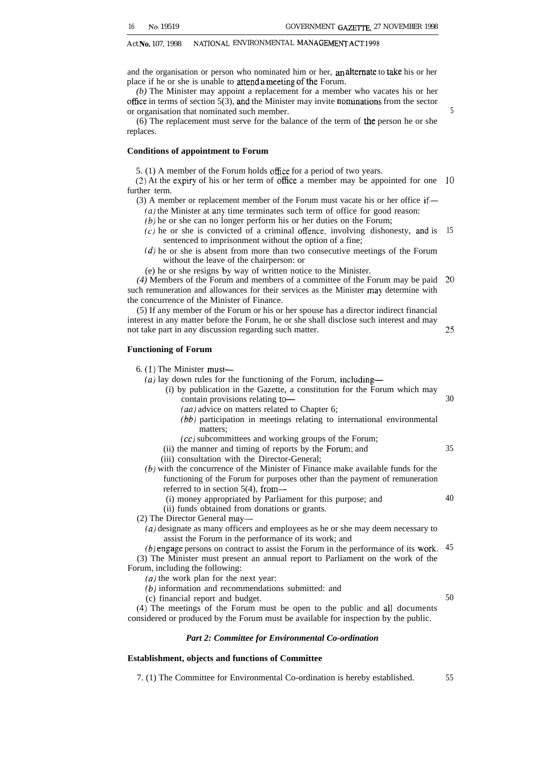5

and the organisation or person who nominated him or her, an alternate to take his or her place if he or she is unable to attend a meeting of the Forum.

*(b)* The Minister may appoint a replacement for a member who vacates his or her office in terms of section  $5(3)$ , and the Minister may invite nominations from the sector or organisation that nominated such member.

(6) The replacement must serve for the balance of the term of tie person he or she replaces.

#### **Conditions of appointment to Forum**

 $5.$  (1) A member of the Forum holds office for a period of two years.

 $(2)$  At the expiry of his or her term of office a member may be appointed for one 10 further term.

(3) A member or replacement member of the Forum must vacate his or her office if—

*(a)* the Minister at any time terminates such term of office for good reason:

*(b)* he or she can no longer perform his or her duties on the Forum;

(c) he or she is convicted of a criminal offence, involving dishonesty, and is  $15$ sentenced to imprisonment without the option of a fine;

 $(d)$  he or she is absent from more than two consecutive meetings of the Forum without the leave of the chairperson: or

(e) he or she resigns by way of written notice to the Minister.

*(4)* Members of the Forum and members of a committee of the Forum may be paid such remuneration and allowances for their services as the Minister may determine with the concurrence of the Minister of Finance.

(5) If any member of the Forum or his or her spouse has a director indirect financial interest in any matter before the Forum, he or she shall disclose such interest and may not take part in any discussion regarding such matter.

#### **Functioning of Forum**

6. (1) The Minister must—

(a) lay down rules for the functioning of the Forum, including—

(i) by publication in the Gazette, a constitution for the Forum which may contain provisions relating to-

- *(aa)* advice on matters related to Chapter 6;
- *(bb)* participation in meetings relating to international environmental matters;
- (cc) subcommittees and working groups of the Forum;
- (ii) the manner and timing of reports by the Forum; and
- (iii) consultation with the Director-General;
- *(b)* with the concurrence of the Minister of Finance make available funds for the functioning of the Forum for purposes other than the payment of remuneration referred to in section 5(4), from—
	- (i) money appropriated by Parliament for this purpose; and

(ii) funds obtained from donations or grants.

(2) The Director General may—

(a) designate as many officers and employees as he or she may deem necessary to assist the Forum in the performance of its work; and

*(b)* engage persons on contract to assist the Forum in the performance of its work. 45 (3) The Minister must present an annual report to Parliament on the work of the Forum, including the following:

 $(a)$  the work plan for the next year:

*(b)* information and recommendations submitted: and

(c) financial report and budget.

*(4)* The meetings of the Forum must be open to the public and all documents considered or produced by the Forum must be available for inspection by the public.

#### *Part 2: Committee for Environmental Co-ordination*

#### **Establishment, objects and functions of Committee**

7. (1) The Committee for Environmental Co-ordination is hereby established.

55

50

30

25

35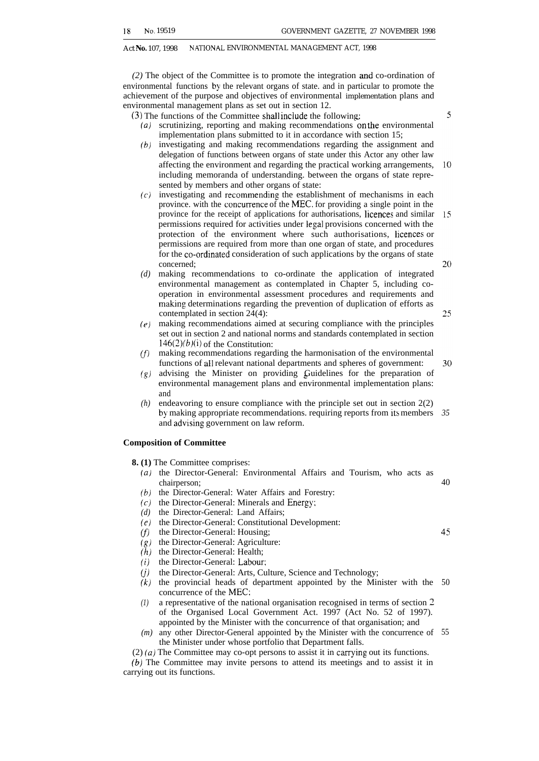*(2)* The object of the Committee is to promote the integration and co-ordination of environmental functions by the relevant organs of state. and in particular to promote the achievement of the purpose and objectives of environmental implementation plans and environmental management plans as set out in section 12.

(3) The functions of the Committee shall include the following:

- (a) scrutinizing, reporting and making recommendations on the environmental implementation plans submitted to it in accordance with section 15;
- *(b)* investigating and making recommendations regarding the assignment and delegation of functions between organs of state under this Actor any other law affecting the environment and regarding the practical working arrangements, 10 including memoranda of understanding. between the organs of state represented by members and other organs of state:
- $(c)$  investigating and recommending the establishment of mechanisms in each province. with the concumence of the MEC. for providing a single point in the province for the receipt of applications for authorisations, licences and similar 15 permissions required for activities under legal provisions concerned with the protection of the environment where such authorisations, licences or permissions are required from more than one organ of state, and procedures for the co-ordinated consideration of such applications by the organs of state concerned; 20
- *(d)* making recommendations to co-ordinate the application of integrated environmental management as contemplated in Chapter 5, including cooperation in environmental assessment procedures and requirements and making determinations regarding the prevention of duplication of efforts as contemplated in section 24(4):
- *(e)* making recommendations aimed at securing compliance with the principles set out in section 2 and national norms and standards contemplated in section  $146(2)(b)(i)$  of the Constitution:
- *(f)* making recommendations regarding the harmonisation of the environmental functions of all relevant national departments and spheres of government:
- (g) advising the Minister on providing Guidelines for the preparation of environmental management plans and environmental implementation plans: and
- *(h)* endeavoring to ensure compliance with the principle set out in section 2(2) by making appropriate recommendations. requiring reports from its members *35* and advising government on law reform.

#### **Composition of Committee**

**8. (1)** The Committee comprises:

- *(a)* the Director-General: Environmental Affairs and Tourism, who acts as chairperson; 40
- *(b)* the Director-General: Water Affairs and Forestry:
- *(c)* the Director-General: Minerals and Energy;
- *(d)* the Director-General: Land Affairs;
- *(e)* the Director-General: Constitutional Development:
- *V)* the Director-General: Housing;
- *(g)* the Director-General: Agriculture:
- *(h)* the Director-General: Health;
- *(i)* the Director-General: Labour:
- *(j)* the Director-General: Arts, Culture, Science and Technology;
- *(k)* the provincial heads of department appointed by the Minister with the 50 concurrence of the MEC:
- *(1)* a representative of the national organisation recognised in terms of section 2 of the Organised Local Government Act. 1997 (Act No. 52 of 1997). appointed by the Minister with the concurrence of that organisation; and
- *(m)* any other Director-General appointed by the Minister with the concurrence of 55 the Minister under whose portfolio that Department falls.
- $(2)$  *(a)* The Committee may co-opt persons to assist it in carrying out its functions.

*(b)* The Committee may invite persons to attend its meetings and to assist it in carrying out its functions.

25

30

5

4j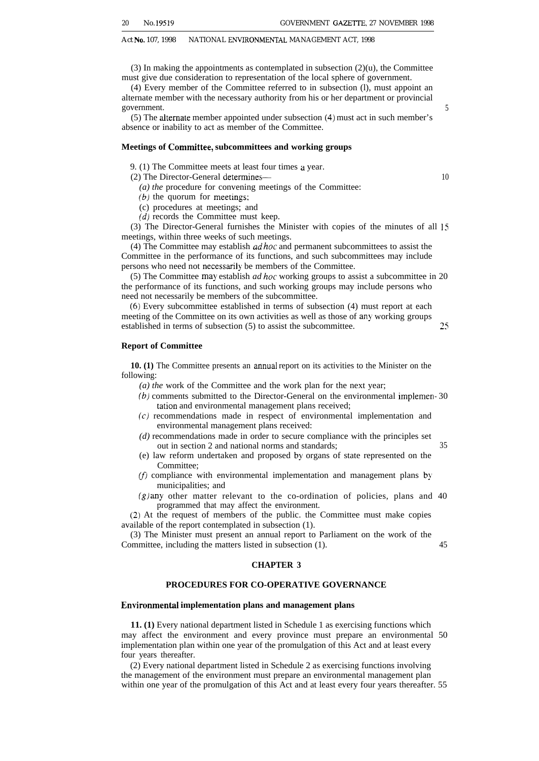(3) In making the appointments as contemplated in subsection  $(2)(u)$ , the Committee must give due consideration to representation of the local sphere of government.

(4) Every member of the Committee referred to in subsection (l), must appoint an alternate member with the necessary authority from his or her department or provincial government. 5

(5) The alternate member appointed under subsection (4) must act in such member's absence or inability to act as member of the Committee.

#### **Meetings of Committee, subcommittees and working groups**

9. (1) The Committee meets at least four times a year.

(2) The Director-General deterrnines—

- *(a) the* procedure for convening meetings of the Committee:
- $(b)$  the quorum for meetings;
- (c) procedures at meetings; and
- $(d)$  records the Committee must keep.

(3) The Director-General furnishes the Minister with copies of the minutes of all 15 meetings, within three weeks of such meetings.

(4) The Committee may establish  $ad hoc$  and permanent subcommittees to assist the Committee in the performance of its functions, and such subcommittees may include persons who need not necessarily be members of the Committee.

(5) The Committee may establish *ad hoc* working groups to assist a subcommittee in 20 the performance of its functions, and such working groups may include persons who need not necessarily be members of the subcommittee.

(6) Every subcommittee established in terms of subsection (4) must report at each meeting of the Committee on its own activities as well as those of any working groups established in terms of subsection (5) to assist the subcommittee. 25

#### **Report of Committee**

**10. (1)** The Committee presents an annual report on its activities to the Minister on the following:

*(a) the* work of the Committee and the work plan for the next year;

- (b) comments submitted to the Director-General on the environmental implemen- 30 tation and environmental management plans received;
- (c) recommendations made in respect of environmental implementation and environmental management plans received:
- *(d)* recommendations made in order to secure compliance with the principles set out in section 2 and national norms and standards; 35
- (e) law reform undertaken and proposed by organs of state represented on the Committee;
- $(f)$  compliance with environmental implementation and management plans by municipalities; and
- $(g)$  any other matter relevant to the co-ordination of policies, plans and 40 programmed that may affect the environment.

(2) At the request of members of the public. the Committee must make copies available of the report contemplated in subsection (1).

(3) The Minister must present an annual report to Parliament on the work of the Committee, including the matters listed in subsection (1). 45

#### **CHAPTER 3**

#### **PROCEDURES FOR CO-OPERATIVE GOVERNANCE**

#### **Environmental implementation plans and management plans**

**11. (1)** Every national department listed in Schedule 1 as exercising functions which may affect the environment and every province must prepare an environmental 50 implementation plan within one year of the promulgation of this Act and at least every four years thereafter.

(2) Every national department listed in Schedule 2 as exercising functions involving the management of the environment must prepare an environmental management plan within one year of the promulgation of this Act and at least every four years thereafter. 55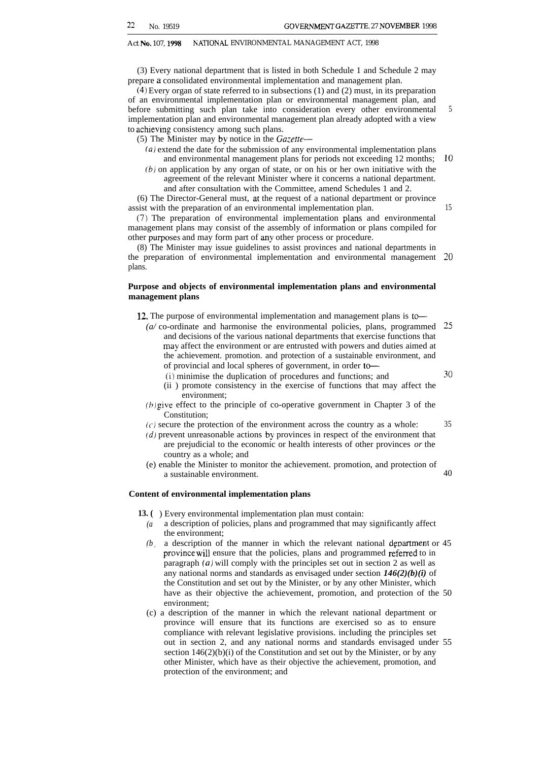(3) Every national department that is listed in both Schedule 1 and Schedule 2 may prepare a consolidated environmental implementation and management plan.

(4) Every organ of state referred to in subsections (1) and (2) must, in its preparation of an environmental implementation plan or environmental management plan, and before submitting such plan take into consideration every other environmental implementation plan and environmental management plan already adopted with a view to achieving consistency among such plans.

(5) The Minister may by notice in the *Gazette*—

*(a)* extend the date for the submission of any environmental implementation plans and environmental management plans for periods not exceeding 12 months;

*(b)* on application by any organ of state, or on his or her own initiative with the agreement of the relevant Minister where it concerns a national department. and after consultation with the Committee, amend Schedules 1 and 2.

(6) The Director-General must, at the request of a national department or province assist with the preparation of an environmental implementation plan.

(7) The preparation of environmental implementation plans and environmental management plans may consist of the assembly of information or plans compiled for other purposes and may form part of any other process or procedure.

(8) The Minister may issue guidelines to assist provinces and national departments in the preparation of environmental implementation and environmental management 20 plans.

#### **Purpose and objects of environmental implementation plans and environmental management plans**

- **12.** The purpose of environmental implementation and management plans is to
	- (a/co-ordinate and harmonise the environmental policies, plans, programmed 25 and decisions of the various national departments that exercise functions that may affect the environment or are entrusted with powers and duties aimed at the achievement. promotion. and protection of a sustainable environment, and of provincial and local spheres of government, in order to-
		- (i) minimise the duplication of procedures and functions; and
		- (ii ) promote consistency in the exercise of functions that may affect the environment;
	- (b) give effect to the principle of co-operative government in Chapter 3 of the Constitution;
	- $(c)$  secure the protection of the environment across the country as a whole: 35
	- $(d)$  prevent unreasonable actions by provinces in respect of the environment that are prejudicial to the economic or health interests of other provinces *or* the country as a whole; and
	- (e) enable the Minister to monitor the achievement. promotion, and protection of a sustainable environment. 40

#### **Content of environmental implementation plans**

**13. (** ) Every environmental implementation plan must contain:

- *(a* a description of policies, plans and programmed that may significantly affect the environment;
- $(b)$ , a description of the manner in which the relevant national department or 45 province will ensure that the policies, plans and programmed referred to in paragraph  $(a)$  will comply with the principles set out in section 2 as well as any national norms and standards as envisaged under section *146(2)(b)(i)* of the Constitution and set out by the Minister, or by any other Minister, which have as their objective the achievement, promotion, and protection of the 50 environment;
- (c) a description of the manner in which the relevant national department or province will ensure that its functions are exercised so as to ensure compliance with relevant legislative provisions. including the principles set out in section 2, and any national norms and standards envisaged under 55 section  $146(2)(b)(i)$  of the Constitution and set out by the Minister, or by any other Minister, which have as their objective the achievement, promotion, and protection of the environment; and

30

5

10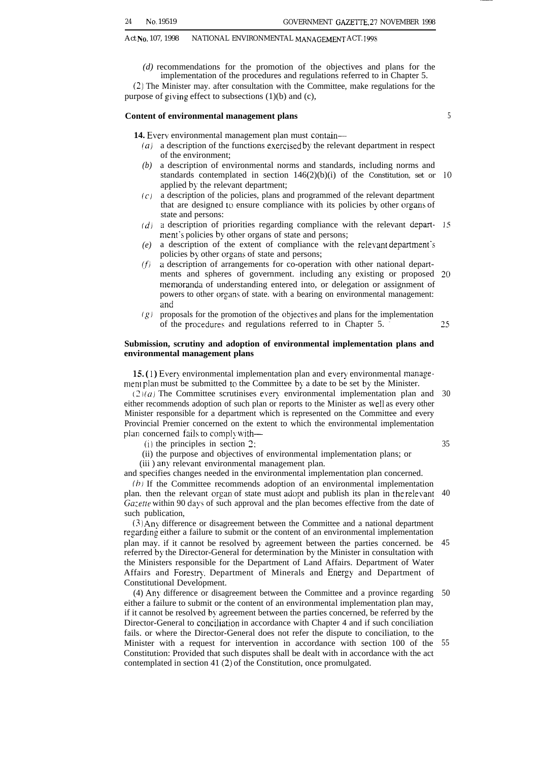*(d)* recommendations for the promotion of the objectives and plans for the implementation of the procedures and regulations referred to in Chapter 5.

(2) The Minister may. after consultation with the Committee, make regulations for the purpose of giving effect to subsections (1)(b) and (c),

#### **Content of environmental management plans**

**14.** Every environmental management plan must contain—

- $(a)$  a description of the functions exercised by the relevant department in respect of the environment;
- *(b)* a description of environmental norms and standards, including norms and standards contemplated in section  $146(2)(b)(i)$  of the Constitution, set or 10 applied by the relevant department;
- $(c)$  a description of the policies, plans and programmed of the relevant department that are designed to ensure compliance with its policies by other organs of state and persons:
- *(d)* a description of priorities regarding compliance with the relevant department's policies by other organs of state and persons;
- *(e)* a description of the extent of compliance with the relevant department's policies by other organs of state and persons;
- **(f)** a description of arrangements for co-operation with other national departments and spheres of government. including any existing or proposed memoranda of understanding entered into, or delegation or assignment of powers to other organs of state. with a bearing on environmental management: and
- $(g)$  proposals for the promotion of the objectives and plans for the implementation of the procedure: and regulations referred to in Chapter 5. -

#### **Submission, scrutiny and adoption of environmental implementation plans and environmental management plans**

**15.** (1) Every environmental implementation plan and every environmental management plan must be submitted to the Committee by a date to be set by the Minister.

 $(2)(a)$  The Committee scrutinises every environmental implementation plan and 30 either recommends adoption of such plan or reports to the Minister as well as every other Minister responsible for a department which is represented on the Committee and every Provincial Premier concerned on the extent to which the environmental implementation plan concerned fails to comply with-

- (i) the principles in section 2:
- (ii) the purpose and objectives of environmental implementation plans; or

(iii ) any relevant environmental management plan.

and specifies changes needed in the environmental implementation plan concerned.

 $(h)$  If the Committee recommends adoption of an environmental implementation plan. then the relevant organ of state must adopt and publish its plan in the relevant 40 Gazette within 90 days of such approval and the plan becomes effective from the date of such publication,

(3) Any difference or disagreement between the Committee and a national department regarding either a failure to submit or the content of an environmental implementation plan may. if it cannot be resolved by agreement between the parties concerned. be 45 referred by the Director-General for determination by the Minister in consultation with the Ministers responsible for the Department of Land Affairs. Department of Water Affairs and Forestry. Department of Minerals and Energy and Department of Constitutional Development.

(4) Any difference or disagreement between the Committee and a province regarding 50 either a failure to submit or the content of an environmental implementation plan may, if it cannot be resolved by agreement between the parties concerned, be referred by the Director-General to conciliation in accordance with Chapter 4 and if such conciliation fails. or where the Director-General does not refer the dispute to conciliation, to the Minister with a request for intervention in accordance with section 100 of the Constitution: Provided that such disputes shall be dealt with in accordance with the act contemplated in section 41 (2) of the Constitution, once promulgated. 55

35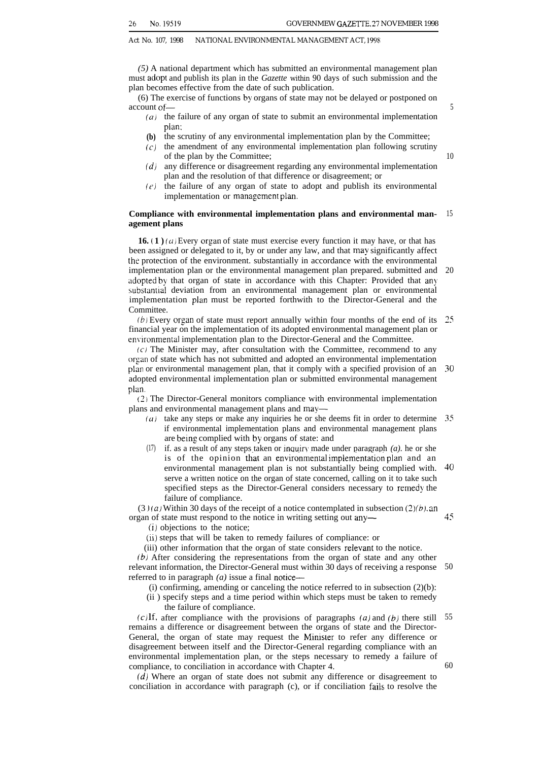5

10

Act No. 107, 1998 NATIONAL ENVIRONMENTAL MANAGEMENT ACT, 1998

*(5)* A national department which has submitted an environmental management plan must adopt and publish its plan in the *Gazette* within 90 days of such submission and the plan becomes effective from the date of such publication.

(6) The exercise of functions by organs of state may not be delayed or postponed on account of—

- (*a*) the failure of any organ of state to submit an environmental implementation plan;
- **(b)** the scrutiny of any environmental implementation plan by the Committee;
- *(c)* the amendment of any environmental implementation plan following scrutiny of the plan by the Committee;
- *(d)* any difference or disagreement regarding any environmental implementation plan and the resolution of that difference or disagreement; or
- $(e)$ the failure of any organ of state to adopt and publish its environmental implementation or management plan.

#### **Compliance with environmental implementation plans and environmental management plans** 15

**16. ( 1 ) (a)** Every organ of state must exercise every function it may have, or that has been assigned or delegated to it, by or under any law, and that may significantly affect the protection of the environment. substantially in accordance with the environmental implementation plan or the environmental management plan prepared. submitted and 20 adopted by that organ of state in accordance with this Chapter: Provided that any substantial deviation from an environmental management plan or environmental implementation plan must be reported forthwith to the Director-General and the Committee.

 $(b)$  Every organ of state must report annually within four months of the end of its 25 financial year on the implementation of its adopted environmental management plan or environmental implementation plan to the Director-General and the Committee.

 $(c)$  The Minister may, after consultation with the Committee, recommend to any organ of state which has not submitted and adopted an environmental implementation plan or environmental management plan, that it comply with a specified provision of an adopted environmental implementation plan or submitted environmental management plan. 30

(2) The Director-General monitors compliance with environmental implementation plans and environmental management plans and may—

- (a) take any steps or make any inquiries he or she deems fit in order to determine 35 if environmental implementation plans and environmental management plans are being complied with by organs of state: and
- $(17)$ if. as a result of any steps taken or inquiry made under paragraph  $(a)$ . he or she is of the opinion that an environmental implementation plan and an environmental management plan is not substantially being complied with. 40 serve a written notice on the organ of state concerned, calling on it to take such specified steps as the Director-General considers necessary to remedy the failure of compliance.

(3 $(3)(a)$  Within 30 days of the receipt of a notice contemplated in subsection (2)(b). an organ of state must respond to the notice in writing setting out any— 45

(i) objections to the notice;

(ii) steps that will be taken to remedy failures of compliance: or

(iii) other information that the organ of state considers reIevant to the notice.

(b) After considering the representations from the organ of state and any other relevant information, the Director-General must within 30 days of receiving a response referred to in paragraph *(a)* issue a final notice— 50

 $(i)$  confirming, amending or canceling the notice referred to in subsection  $(2)(b)$ :

(ii ) specify steps and a time period within which steps must be taken to remedy the failure of compliance.

 $(c)$ If, after compliance with the provisions of paragraphs  $(a)$  and  $(b)$  there still remains a difference or disagreement between the organs of state and the Director-General, the organ of state may request the Minister to refer any difference or disagreement between itself and the Director-General regarding compliance with an environmental implementation plan, or the steps necessary to remedy a failure of compliance, to conciliation in accordance with Chapter 4. 55 60

*(d)* Where an organ of state does not submit any difference or disagreement to conciliation in accordance with paragraph (c), or if conciliation fails to resolve the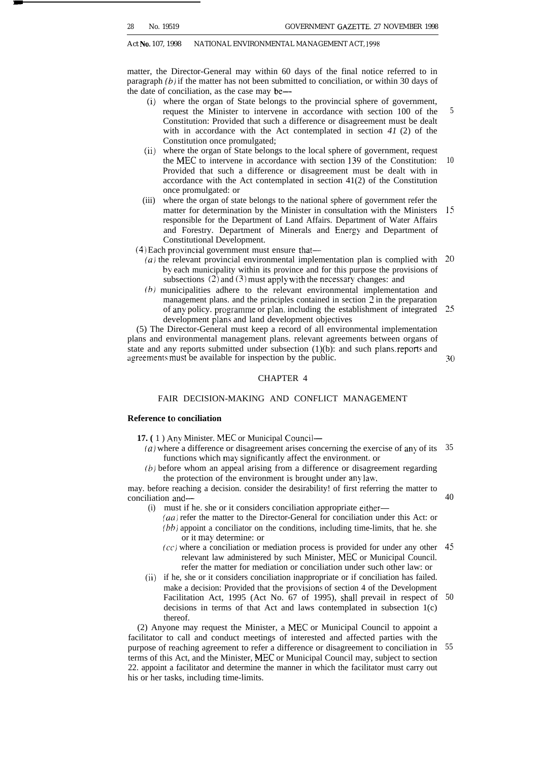matter, the Director-General may within 60 days of the final notice referred to in paragraph  $(b)$  if the matter has not been submitted to conciliation, or within 30 days of the date of conciliation, as the case may be—

- (i) where the organ of State belongs to the provincial sphere of government, request the Minister to intervene in accordance with section 100 of the Constitution: Provided that such a difference or disagreement must be dealt with in accordance with the Act contemplated in section *41* (2) of the Constitution once promulgated; 5
- (ii) where the organ of State belongs to the local sphere of government, request the MEC to intervene in accordance with section 139 of the Constitution: Provided that such a difference or disagreement must be dealt with in accordance with the Act contemplated in section 41(2) of the Constitution once promulgated: or 10
- (iii) where the organ of state belongs to the national sphere of government refer the matter for determination by the Minister in consultation with the Ministers 15 responsible for the Department of Land Affairs. Department of Water Affairs and Forestry. Department of Minerals and Energy and Department of Constitutional Development.
- $(4)$  Each provincial government must ensure that—
	- *(a)* the relevant provincial environmental implementation plan is complied with by each municipality within its province and for this purpose the provisions of subsections  $(2)$  and  $(3)$  must apply with the necessary changes: and
	- (b) municipalities adhere to the relevant environmental implementation and management plans. and the principles contained in section 2 in the preparation of any policy. programme or plan. including the establishment of integrated development plans and land development objectives

(5) The Director-General must keep a record of all environmental implementation plans and environmental management plans. relevant agreements between organs of state and any reports submitted under subsection  $(1)(b)$ : and such plans. reports and agreements must be available for inspection by the public.

30

#### CHAPTER 4

#### FAIR DECISION-MAKING AND CONFLICT MANAGEMENT

#### **Reference to conciliation**

- **17. (** 1 ) Any Minister. MEC or Municipal Council—
	- (*a*) where a difference or disagreement arises concerning the exercise of any of its  $35$ functions which may significantly affect the environment. or
	- $(b)$  before whom an appeal arising from a difference or disagreement regarding the protection of the environment is brought under any law.

may. before reaching a decision. consider the desirability! of first referring the matter to conciliation and—

- 40
- (i) must if he. she or it considers conciliation appropriate either—
	- *(aa)* refer the matter to the Director-General for conciliation under this Act: or  $(bb)$  appoint a conciliator on the conditions, including time-limits, that he. she or it may determine: or
	- (cc) where a conciliation or mediation process is provided for under any other 45 relevant law administered by such Minister, MEC or Municipal Council. refer the matter for mediation or conciliation under such other law: or
- (ii) if he, she or it considers conciliation inappropriate or if conciliation has failed. make a decision: Provided that the provisions of section 4 of the Development Facilitation Act, 1995 (Act No. 67 of 1995), shall prevail in respect of 50 decisions in terms of that Act and laws contemplated in subsection 1(c) thereof.

(2) Anyone may request the Minister, a MEC or Municipal Council to appoint a facilitator to call and conduct meetings of interested and affected parties with the purpose of reaching agreement to refer a difference or disagreement to conciliation in 55terms of this Act, and the Minister, MEC or Municipal Council may, subject to section 22. appoint a facilitator and determine the manner in which the facilitator must carry out his or her tasks, including time-limits.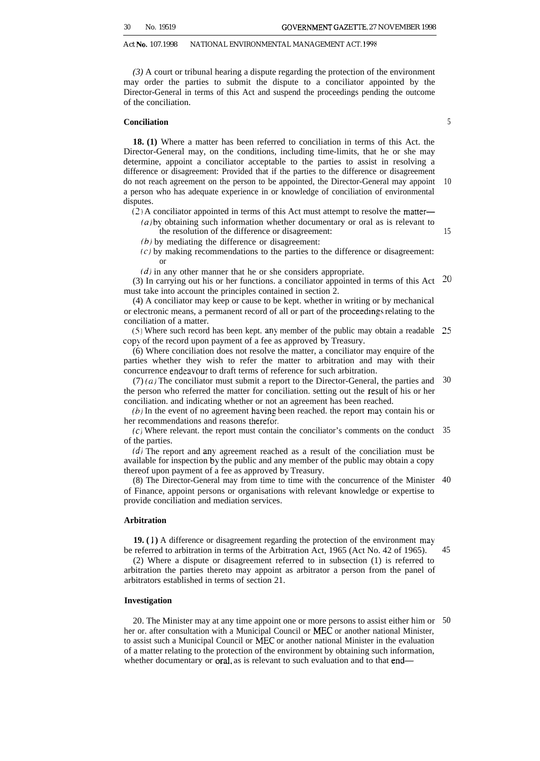*(3)* A court or tribunal hearing a dispute regarding the protection of the environment may order the parties to submit the dispute to a conciliator appointed by the Director-General in terms of this Act and suspend the proceedings pending the outcome of the conciliation.

#### **Conciliation**

5

15

45

**18. (1)** Where a matter has been referred to conciliation in terms of this Act. the Director-General may, on the conditions, including time-limits, that he or she may determine, appoint a conciliator acceptable to the parties to assist in resolving a difference or disagreement: Provided that if the parties to the difference or disagreement do not reach agreement on the person to be appointed, the Director-General may appoint a person who has adequate experience in or knowledge of conciliation of environmental disputes. 10

(2) A conciliator appointed in terms of this Act must attempt to resolve the matter—

*(a) by* obtaining such information whether documentary or oral as is relevant to the resolution of the difference or disagreement:

 $(b)$  by mediating the difference or disagreement:

 $(c)$  by making recommendations to the parties to the difference or disagreement: or

 $(d)$  in any other manner that he or she considers appropriate.

(3) In carrying out his or her functions. a conciliator appointed in terms of this Act  $20$ must take into account the principles contained in section 2.

(4) A conciliator may keep or cause to be kept. whether in writing or by mechanical or electronic means, a permanent record of all or part of the proceedings relating to the conciliation of a matter.

(5) Where such record has been kept. any member of the public may obtain a readable 25 copy of the record upon payment of a fee as approved by Treasury.

(6) Where conciliation does not resolve the matter, a conciliator may enquire of the parties whether they wish to refer the matter to arbitration and may with their concurrence endeavour to draft terms of reference for such arbitration.

(7) *(a)* The conciliator must submit a report to the Director-General, the parties and 30 the person who referred the matter for conciliation. setting out the result of his or her conciliation. and indicating whether or not an agreement has been reached.

 $(b)$  In the event of no agreement having been reached. the report may contain his or her recommendations and reasons therefor.

 $(c)$  Where relevant. the report must contain the conciliator's comments on the conduct 35 of the parties.

 $(d)$  The report and any agreement reached as a result of the conciliation must be available for inspection by the public and any member of the public may obtain a copy thereof upon payment of a fee as approved by Treasury.

(8) The Director-General may from time to time with the concurrence of the Minister 40 of Finance, appoint persons or organisations with relevant knowledge or expertise to provide conciliation and mediation services.

#### **Arbitration**

**19. ( 1 )** A difference or disagreement regarding the protection of the environment may be referred to arbitration in terms of the Arbitration Act, 1965 (Act No. 42 of 1965).

(2) Where a dispute or disagreement referred to in subsection (1) is referred to arbitration the parties thereto may appoint as arbitrator a person from the panel of arbitrators established in terms of section 21.

#### **Investigation**

20. The Minister may at any time appoint one or more persons to assist either him or 50her or. after consultation with a Municipal Council or MEC or another national Minister, to assist such a Municipal Council or MEC or another national Minister in the evaluation of a matter relating to the protection of the environment by obtaining such information, whether documentary or oral, as is relevant to such evaluation and to that end—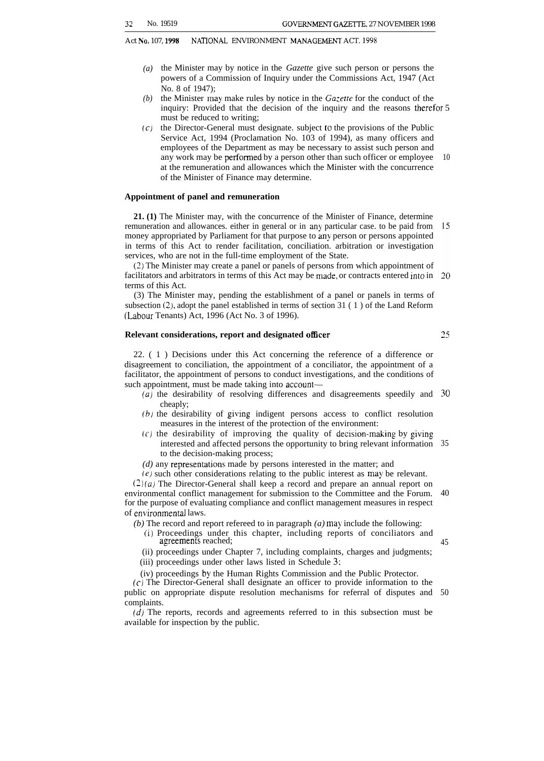- *(a)* the Minister may by notice in the *Gazette* give such person or persons the powers of a Commission of Inquiry under the Commissions Act, 1947 (Act No. 8 of 1947);
- *(b)* the Minister may make rules by notice in the *Ga:etre* for the conduct of the inquiry: Provided that the decision of the inquiry and the reasons therefor 5 must be reduced to writing;
- *(c)* the Director-General must designate. subject to the provisions of the Public Service Act, 1994 (Proclamation No. 103 of 1994), as many officers and employees of the Department as may be necessary to assist such person and any work may be perfomed by a person other than such officer or employee at the remuneration and allowances which the Minister with the concurrence of the Minister of Finance may determine. 10

#### **Appointment of panel and remuneration**

**21. (1)** The Minister may, with the concurrence of the Minister of Finance, determine remuneration and allowances. either in general or in any particular case. to be paid from -15 money appropriated by Parliament for that purpose to any person or persons appointed in terms of this Act to render facilitation, conciliation. arbitration or investigation services, who are not in the full-time employment of the State.

(2) The Minister may create a panel or panels of persons from which appointment of facilitators and arbitrators in terms of this Act may be made, or contracts entered into in 20 terms of this Act.

(3) The Minister may, pending the establishment of a panel or panels in terms of subsection (2), adopt the panel established in terms of section 31 ( 1 ) of the Land Reform (Labour Tenants) Act, 1996 (Act No. 3 of 1996).

#### **Relevant considerations, report and designated oficer**

25

45

22. ( 1 ) Decisions under this Act concerning the reference of a difference or disagreement to conciliation, the appointment of a conciliator, the appointment of a facilitator, the appointment of persons to conduct investigations, and the conditions of such appointment, must be made taking into account—

- *(a)* the desirability of resolving differences and disagreements speedily and 30 cheaply;
- $(b)$  the desirability of giving indigent persons access to conflict resolution measures in the interest of the protection of the environment:
- $(c)$  the desirability of improving the quality of decision-making by giving interested and affected persons the opportunity to bring relevant information 35 to the decision-making process;
- $(d)$  any representations made by persons interested in the matter; and
- (e) such other considerations relating to the public interest as may be relevant.

(2) *(a)* The Director-General shall keep a record and prepare an annual report on environmental conflict management for submission to the Committee and the Forum. for the purpose of evaluating compliance and conflict management measures in respect of environmental laws. 40

*(b)* The record and report refereed to in paragraph *(a)* may include the following:

- (i) Proceedings under this chapter, including reports of conciliators and agreements reached;
- (ii) proceedings under Chapter 7, including complaints, charges and judgments;
- (iii) proceedings under other laws listed in Schedule 3:

(iv) proceedings by the Human Rights Commission and the Public Protector.

(c) The Director-General shall designate an officer to provide information to the public on appropriate dispute resolution mechanisms for referral of disputes and complaints. 50

*(d)* The reports, records and agreements referred to in this subsection must be available for inspection by the public.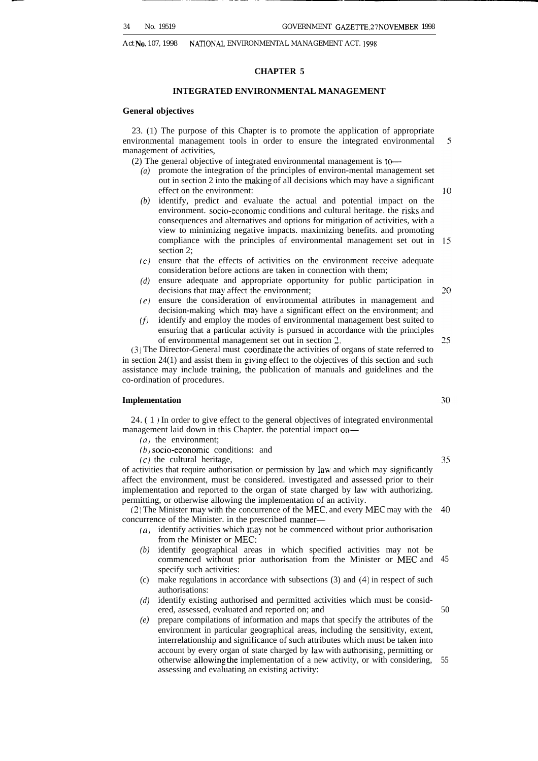#### **CHAPTER 5**

#### **INTEGRATED ENVIRONMENTAL MANAGEMENT**

#### **General objectives**

23. (1) The purpose of this Chapter is to promote the application of appropriate environmental management tools in order to ensure the integrated environmental 5 management of activities,

(2) The general objective of integrated environmental management is to

- *(a)* promote the integration of the principles of environ-mental management set out in section 2 into the making of all decisions which may have a significant effect on the environment:
- *(b)* identify, predict and evaluate the actual and potential impact on the environment. socio-economic conditions and cultural heritage. the risks and consequences and alternatives and options for mitigation of activities, with a view to minimizing negative impacts. maximizing benefits. and promoting compliance with the principles of environmental management set out in 15 section 2;
- (c) ensure that the effects of activities on the environment receive adequate consideration before actions are taken in connection with them;
- *(d)* ensure adequate and appropriate opportunity for public participation in decisions that may affect the environment;
- *(e)* ensure the consideration of environmental attributes in management and decision-making which may have a significant effect on the environment; and
- **(f)** identify and employ the modes of environmental management best suited to ensuring that a particular activity is pursued in accordance with the principles of environmental management set out in section 2.

(3) The Director-General must coordinate the activities of organs of state referred to in section 24(1) and assist them in giving effect to the objectives of this section and such assistance may include training, the publication of manuals and guidelines and the co-ordination of procedures.

#### **Implementation**

24. ( 1 ) In order to give effect to the general objectives of integrated environmental management laid down in this Chapter. the potential impact on—

*(a)* the environment;

*(b)* socio-economic conditions: and

 $(c)$  the cultural heritage,

of activities that require authorisation or permission by law and which may significantly affect the environment, must be considered. investigated and assessed prior to their implementation and reported to the organ of state charged by law with authorizing. permitting, or otherwise allowing the implementation of an activity.

(2) The Minister may with the concurrence of the MEC. and every MEC may with the 40 concurrence of the Minister. in the prescribed manner—

- *(a)* identify activities which may not be commenced without prior authorisation from the Minister or MEC:
- *(b)* identify geographical areas in which specified activities may not be commenced without prior authorisation from the Minister or MEC and 45 specify such activities:
- $(c)$ make regulations in accordance with subsections (3) and (4) in respect of such authorisations:
- *(d)* identify existing authorised and permitted activities which must be considered, assessed, evaluated and reported on; and
- *(e)* prepare compilations of information and maps that specify the attributes of the environment in particular geographical areas, including the sensitivity, extent, interrelationship and significance of such attributes which must be taken into account by every organ of state charged by law with authorising, permitting or otherwise allowing the implementation of a new activity, or with considering, 55 assessing and evaluating an existing activity:

30

10

20

25

35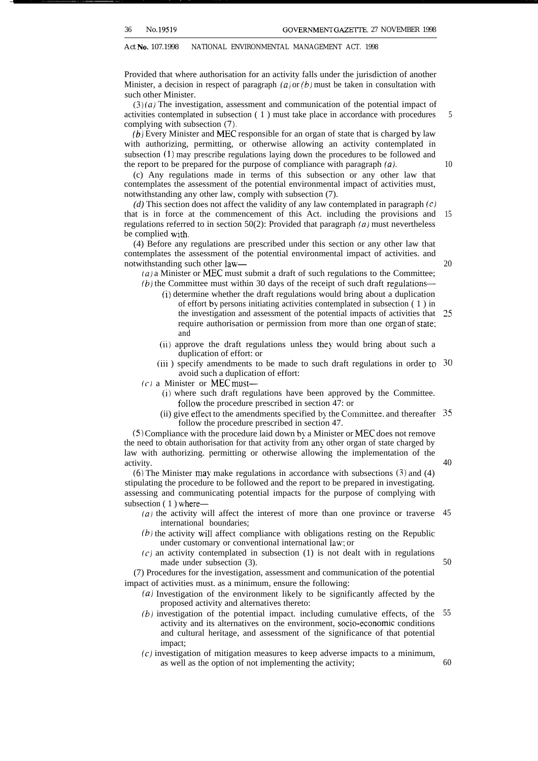Provided that where authorisation for an activity falls under the jurisdiction of another Minister, a decision in respect of paragraph  $(a)$  or  $(b)$  must be taken in consultation with such other Minister.

 $(3)(a)$  The investigation, assessment and communication of the potential impact of activities contemplated in subsection ( 1 ) must take place in accordance with procedures complying with subsection (7). 5

(b) Every Minister and MEC responsible for an organ of state that is charged by law with authorizing, permitting, or otherwise allowing an activity contemplated in subsection (1) may prescribe regulations laying down the procedures to be followed and the report to be prepared for the purpose of compliance with paragraph  $(a)$ .

(c) Any regulations made in terms of this subsection or any other law that contemplates the assessment of the potential environmental impact of activities must, notwithstanding any other law, comply with subsection (7).

 $(d)$  This section does not affect the validity of any law contemplated in paragraph  $(c)$ that is in force at the commencement of this Act. including the provisions and regulations referred to in section 50(2): Provided that paragraph  $(a)$  must nevertheless be complied with. 15

(4) Before any regulations are prescribed under this section or any other law that contemplates the assessment of the potential environmental impact of activities. and notwithstanding such other law—

 $(a)$  a Minister or MEC must submit a draft of such regulations to the Committee; (b) the Committee must within 30 days of the receipt of such draft regulations–

- (i) determine whether the draft regulations would bring about a duplication of effort by persons initiating activities contemplated in subsection ( 1 ) in the investigation and assessment of the potential impacts of activities that require authorisation or permission from more than one organ of state: and 25
- (11) approve the draft regulations unless they would bring about such a duplication of effort: or
- (iii ) specify amendments to be made to such draft regulations in order to 30 avoid such a duplication of effort:

 $(c)$  a Minister or MEC must—

- (i) where such draft regulations have been approved by the Committee. follow the procedure prescribed in section 47: or
- (ii) give effect to the amendments specified by the Committee, and thereafter  $35$ follow the procedure prescribed in section 47.

(5) Compliance with the procedure laid down by a Minister or MEC does not remove the need to obtain authorisation for that activity from any other organ of state charged by law with authorizing. permitting or otherwise allowing the implementation of the activity.

(6) The Minister may make regulations in accordance with subsections (3) and (4) stipulating the procedure to be followed and the report to be prepared in investigating. assessing and communicating potential impacts for the purpose of complying with subsection (1) where—

- *(a)* the activity will affect the interest of more than one province or traverse 45 international boundaries;
- $(b)$  the activity will affect compliance with obligations resting on the Republic under customary or conventional international law: or
- $(c)$  an activity contemplated in subsection (1) is not dealt with in regulations made under subsection (3).

(7) Procedures for the investigation, assessment and communication of the potential impact of activities must. as a minimum, ensure the following:

- $(a)$  Investigation of the environment likely to be significantly affected by the proposed activity and alternatives thereto:
- *(b)* investigation of the potential impact. including cumulative effects, of the activity and its alternatives on the environment, socio-economic conditions and cultural heritage, and assessment of the significance of that potential impact; 55
- (c) investigation of mitigation measures to keep adverse impacts to a minimum, as well as the option of not implementing the activity;

10

20

40

50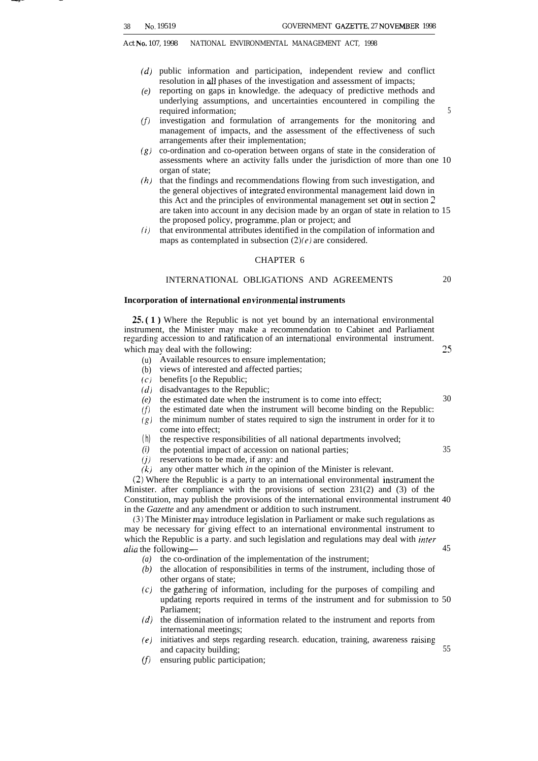.

Act No. 107, 1998 NATIONAL ENVIRONMENTAL MANAGEMENT ACT, 1998

- *(d)* public information and participation, independent review and conflict resolution in all phases of the investigation and assessment of impacts;
- *(e)* reporting on gaps in knowledge. the adequacy of predictive methods and underlying assumptions, and uncertainties encountered in compiling the required information; 5
- *V)* investigation and formulation of arrangements for the monitoring and management of impacts, and the assessment of the effectiveness of such arrangements after their implementation;
- *(g)* co-ordination and co-operation between organs of state in the consideration of assessments where an activity falls under the jurisdiction of more than one 10 organ of state;
- *(h)* that the findings and recommendations flowing from such investigation, and the general objectives of integrated environmental management laid down in this Act and the principles of environmental management set out in section 2 are taken into account in any decision made by an organ of state in relation to 15 the proposed policy, programme, plan or project; and
- *(;)* that environmental attributes identified in the compilation of information and maps as contemplated in subsection  $(2)(e)$  are considered.

#### CHAPTER 6

#### INTERNATIONAL OBLIGATIONS AND AGREEMENTS

#### **Incorporation of international environmental instruments**

**2j. ( 1 )** Where the Republic is not yet bound by an international environmental instrument, the Minister may make a recommendation to Cabinet and Parliament regarding accession to and ratification of an international environmental instrument. which may deal with the following: 25 (u) Available resources to ensure implementation; (b) views of interested and affected parties; *(c)* benefits [o the Republic; *(d)* disadvantages to the Republic; *(e)* the estimated date when the instrument is to come into effect; 30  $(f)$ *(g)* the minimum number of states required to sign the instrument in order for it to *(h) (i) (j)* reservations to be made, if any: and *(k)* any other matter which *in* the opinion of the Minister is relevant. the estimated date when the instrument will become binding on the Republic: come into effect; the respective responsibilities of all national departments involved; the potential impact of accession on national parties; 35  $(2)$  Where the Republic is a party to an international environmental instrument the Minister. after compliance with the provisions of section 231(2) and (3) of the Constitution, may publish the provisions of the international environmental instrument 40 in the *Gazette* and any amendment or addition to such instrument. (3) The Minister may introduce legislation in Parliament or make such regulations as may be necessary for giving effect to an international environmental instrument to which the Republic is a party. and such legislation and regulations may deal with *infer alia* the following— 45 *(a)* the co-ordination of the implementation of the instrument; *(b)* the allocation of responsibilities in terms of the instrument, including those of *(c) (d)* the dissemination of information related to the instrument and reports from other organs of state; the gathering of information, including for the purposes of compiling and updating reports required in terms of the instrument and for submission to 50 Parliament; international meetings;

- *(e)* initiatives and steps regarding research. education, training, awareness raising and capacity building; 55
- *f)* ensuring public participation;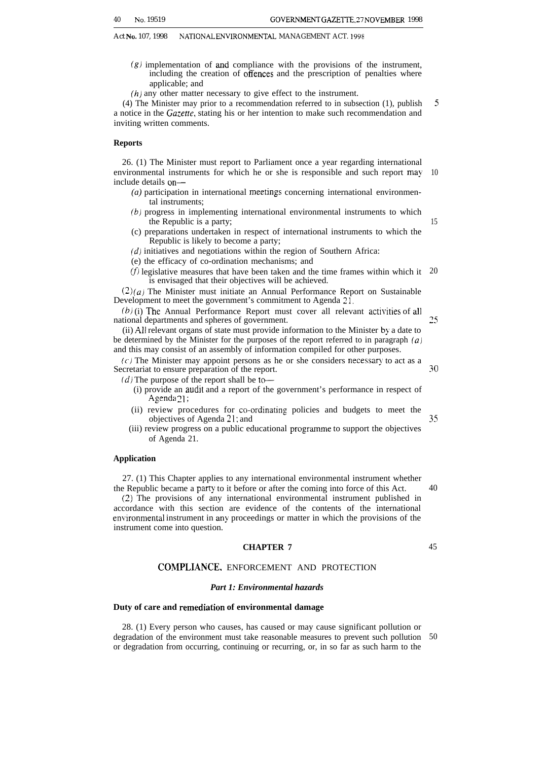- $(g)$  implementation of and compliance with the provisions of the instrument, including the creation of offences and the prescription of penalties where applicable; and
- (h) any other matter necessary to give effect to the instrument.

5 (4) The Minister may prior to a recommendation referred to in subsection (1), publish a notice in the Gazetre, stating his or her intention to make such recommendation and inviting written comments.

#### **Reports**

26. (1) The Minister must report to Parliament once a year regarding international environmental instruments for which he or she is responsible and such report may include details on— 10

- (a) participation in international meetings concerning international environmental instruments;
- (b) progress in implementing international environmental instruments to which the Republic is a party;
- (c) preparations undertaken in respect of international instruments to which the Republic is likely to become a party;
- $(d)$  initiatives and negotiations within the region of Southern Africa:
- (e) the efficacy of co-ordination mechanisms; and
- (f) legislative measures that have been taken and the time frames within which it  $20$ is envisaged that their objectives will be achieved.

 $(2)(a)$  The Minister must initiate an Annual Performance Report on Sustainable Development to meet the government's commitment to Agenda 21,

 $(b)$  (i) The Annual Performance Report must cover all relevant activities of all national departments and spheres of government. 25

(ii) All relevant organs of state must provide information to the Minister by a date to be determined by the Minister for the purposes of the report referred to in paragraph *(a)* and this may consist of an assembly of information compiled for other purposes.

 $(c)$  The Minister may appoint persons as he or she considers necessary to act as a Secretariat to ensure preparation of the report.

(d) The purpose of the report shall be to-

- (i) provide an audit and a report of the government's performance in respect of  $A$ genda $21$ ;
- (ii) review procedures for co-ordinating policies and budgets to meet the objectives of Agenda 21: and
- (iii) review progress on a public educational programme to support the objectives of Agenda 21.

#### **Application**

27. (1) This Chapter applies to any international environmental instrument whether the Republic became a party to it before or after the coming into force of this Act.

(2) The provisions of any international environmental instrument published in accordance with this section are evidence of the contents of the international environmental instrument in any proceedings or matter in which the provisions of the instrument come into question.

#### **CHAPTER 7**

#### COMPLIANCE, ENFORCEMENT AND PROTECTION

#### *Part 1: Environmental hazards*

#### **Duty of care and remediation of environmental damage**

28. (1) Every person who causes, has caused or may cause significant pollution or degradation of the environment must take reasonable measures to prevent such pollution 50or degradation from occurring, continuing or recurring, or, in so far as such harm to the

35

40

45

30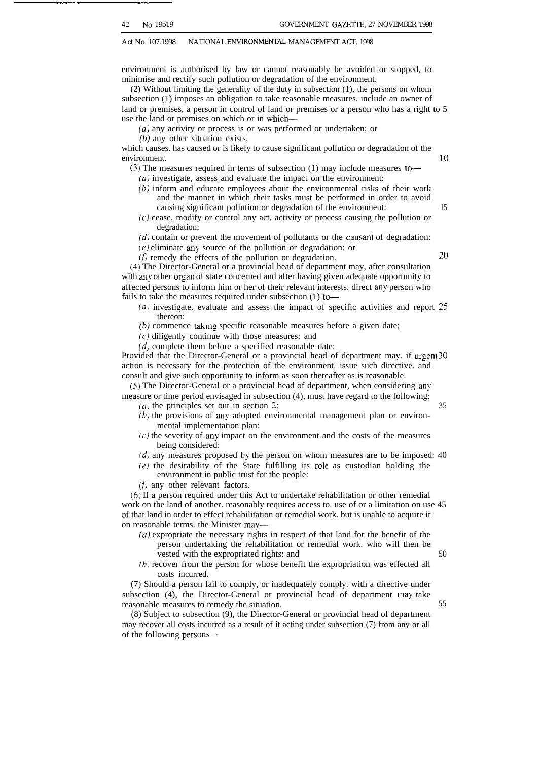- . . .. . . -, . .

#### Act No. 107.1998 NATIONAL ENVIRONMENTAL MANAGEMENT ACT, 1998

environment is authorised by law or cannot reasonably be avoided or stopped, to minimise and rectify such pollution or degradation of the environment.

(2) Without limiting the generality of the duty in subsection (1), the persons on whom subsection (1) imposes an obligation to take reasonable measures. include an owner of land or premises, a person in control of land or premises or a person who has a right to 5 use the land or premises on which or in which—

*(a)* any activity or process is or was performed or undertaken; or

*(b)* any other situation exists,

which causes. has caused or is likely to cause significant pollution or degradation of the environment. 10

 $(3)$  The measures required in terns of subsection  $(1)$  may include measures to

*(a)* investigate, assess and evaluate the impact on the environment:

- *(b)* inform and educate employees about the environmental risks of their work and the manner in which their tasks must be performed in order to avoid causing significant pollution or degradation of the environment: 15
- (c) cease, modify or control any act, activity or process causing the pollution or degradation;

*(d)* contain or prevent the movement of pollutants or the causant of degradation:

 $(e)$  eliminate any source of the pollution or degradation: or

(f) remedy the effects of the pollution or degradation.  $20$ 

(4) The Director-General or a provincial head of department may, after consultation with any other organ of state concerned and after having given adequate opportunity to affected persons to inform him or her of their relevant interests. direct any person who fails to take the measures required under subsection  $(1)$  to-

- (a) investigate. evaluate and assess the impact of specific activities and report *25* thereon:
- *(b)* commence taking specific reasonable measures before a given date;

 $(c)$  diligently continue with those measures; and

 $(d)$  complete them before a specified reasonable date:

Provided that the Director-General or a provincial head of department may. if urgent 30 action is necessary for the protection of the environment. issue such directive. and consult and give such opportunity to inform as soon thereafter as is reasonable.

(5) The Director-General or a provincial head of department, when considering any measure or time period envisaged in subsection (4), must have regard to the following: *(a)* the principles set out in section 2: 35

- 
- *(b)* the provisions of any adopted environmental management plan or environmental implementation plan:
- $(c)$  the severity of any impact on the environment and the costs of the measures being considered:
- *(d)* any measures proposed by the person on whom measures are to be imposed: 40
- (e) the desirability of the State fulfilling its role as custodian holding the environment in public trust for the people:
- $(f)$  any other relevant factors.

(6) If a person required under this Act to undertake rehabilitation or other remedial work on the land of another. reasonably requires access to. use of or a limitation on use 45 of that land in order to effect rehabilitation or remedial work. but is unable to acquire it on reasonable terms. the Minister may—

- (a) expropriate the necessary rights in respect of that land for the benefit of the person undertaking the rehabilitation or remedial work. who will then be vested with the expropriated rights: and 50
- *(b)* recover from the person for whose benefit the expropriation was effected all costs incurred.

(7) Should a person fail to comply, or inadequately comply. with a directive under subsection (4), the Director-General or provincial head of department may take reasonable measures to remedy the situation. 55

(8) Subject to subsection (9), the Director-General or provincial head of department may recover all costs incurred as a result of it acting under subsection (7) from any or all of the following persons—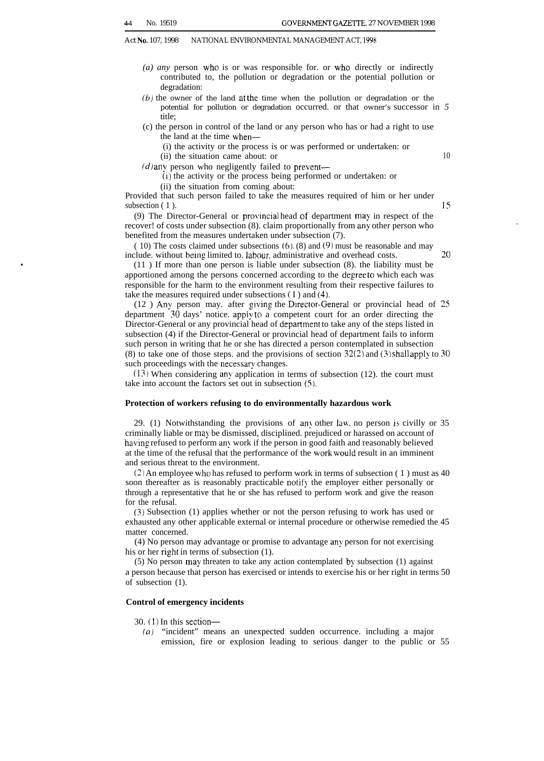- *(a) any* person who is or was responsible for. or who directly or indirectly contributed to, the pollution or degradation or the potential pollution or degradation:
- *(b)* the owner of the land at the time when the pollution or degradation or the potential for pollution or degradation occurred. or that owner's successor in *5* title;
- (c) the person in control of the land or any person who has or had a right to use the land at the time when—
	- (i) the activity or the process is or was performed or undertaken: or
	- (ii) the situation came about: or 10
- $(d)$  any person who negligently failed to prevent—
	- (i) the activity or the process being performed or undertaken: or
	- (ii) the situation from coming about:

Provided that such person failed to take the measures required of him or her under subsection ( 1 ). 15

(9) The Director-General or provincial head of department may in respect of the recover! of costs under subsection (8). claim proportionally from any other person who benefited from the measures undertaken under subsection (7).

 $(10)$  The costs claimed under subsections  $(6)$ .  $(8)$  and  $(9)$  must be reasonable and may include. without being limited to. labour. administrative and overhead costs.  $\qquad \qquad$  20

(11 ) If more than one person is liable under subsection (8). the liability must be apportioned among the persons concerned according to the degree to which each was responsible for the harm to the environment resulting from their respective failures to take the measures required under subsections  $(1)$  and  $(4)$ .

(12 ) Any person may. after giving the Director-Genem] or provincial head of 2S department 30 days' notice. apply to a competent court for an order directing the Director-General or any provincial head of depanment to take any of the steps listed in subsection (4) if the Director-General or provincial head of department fails to inform such person in writing that he or she has directed a person contemplated in subsection (8) to take one of those steps. and the provisions of section  $32(2)$  and  $(3)$  shall apply to 30 such proceedings with the necessary changes.

 $(13)$  When considering any application in terms of subsection  $(12)$ . the court must take into account the factors set out in subsection (5).

#### **Protection of workers refusing to do environmentally hazardous work**

29. (1) Notwithstanding the provisions of any other law, no person is civilly or  $35$ criminally liable or may be dismissed, disciplined. prejudiced or harassed on account of having refused to perform any work if the person in good faith and reasonably believed at the time of the refusal that the performance of the work would result in an imminent and serious threat to the environment.

 $(2)$  An employee who has refused to perform work in terms of subsection (1) must as 40 soon thereafter as is reasonably practicable notify the employer either personally or through a representative that he or she has refused to perform work and give the reason for the refusal.

(3) Subsection (1) applies whether or not the person refusing to work has used or exhausted any other applicable external or internal procedure or otherwise remedied the 45 matter concerned.

(4) No person may advantage or promise to advantage any person for not exercising his or her right in terms of subsection (1).

(5) No person may threaten to take any action contemplated by subsection (1) against a person because that person has exercised or intends to exercise his or her right in terms 50 of subsection (1).

#### **Control of emergency incidents**

30. (1) In this section—

*(a)* "incident" means an unexpected sudden occurrence. including a major emission, fire or explosion leading to serious danger to the public or 55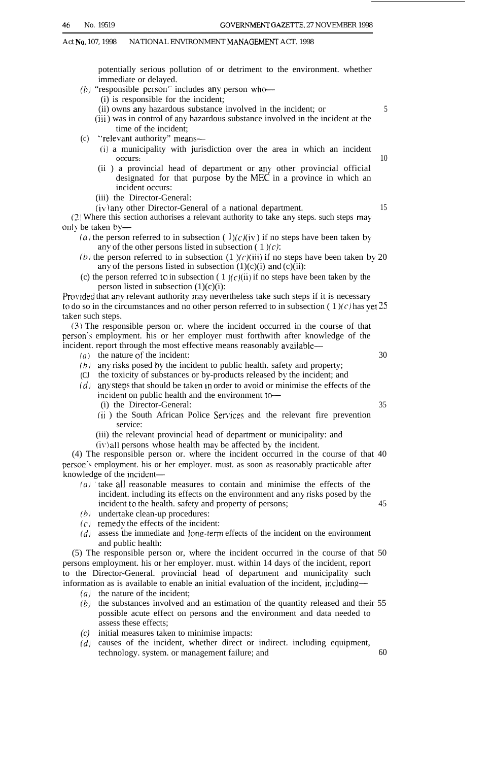potentially serious pollution of or detriment to the environment. whether immediate or delayed.

- (b) "responsible person" includes any person who--
	- (i) is responsible for the incident;

#### (ii) owns any hazardous substance involved in the incident; or 5 (iii ) was in control of any hazardous substance involved in the incident at the

time of the incident;

- (c) .'relevant authority" means—
	- (i) a municipality with jurisdiction over the area in which an incident occurs:  $10$
	- (ii ) a provincial head of department or any other provincial official designated for that purpose by the MEC in a province in which an incident occurs:
	- (iii) the Director-General:
	- $(iv)$  any other Director-General of a national department. 15

(2) Where this section authorises a relevant authority to take any steps. such steps may only be taken by—

- (*a*) the person referred to in subsection ( $1$ )(*c*)(iv) if no steps have been taken by any of the other persons listed in subsection  $(1)(c)$ :
- (b) the person referred to in subsection (1)(c)(iii) if no steps have been taken by 20 any of the persons listed in subsection  $(1)(c)(i)$  and  $(c)(ii)$ :
- (c) the person referred to in subsection (1)( $c$ )(ii) if no steps have been taken by the person listed in subsection  $(1)(c)(i)$ :

Provided that any relevant authority may nevertheless take such steps if it is necessary to do so in the circumstances and no other person referred to in subsection (1) $(c)$  has yet 25 taken such steps.

(3) The responsible person or. where the incident occurred in the course of that person's employment. his or her employer must forthwith after knowledge of the incident. report through the most effective means reasonably available-

- $f(a)$  the nature of the incident:  $30$
- $(b)$  any risks posed by the incident to public health. safety and property;

(CJ the toxicity of substances or by-products released by the incident; and

- (d) any steps that should be taken in order to avoid or minimise the effects of the incident on public health and the environment to-
	- (i) the Director-General: 35
	- (ii ) the South African Police Sen'ices and the relevant fire prevention service:
	- (iii) the relevant provincial head of department or municipality: and
	- (iv) all persons whose health may be affected by the incident.

(4) The responsible person or. where the incident occurred in the course of that 40 person's employment. his or her employer. must. as soon as reasonably practicable after knowledge of the incident—

- $(a)$  take all reasonable measures to contain and minimise the effects of the incident. including its effects on the environment and any risks posed by the incident to the health. safety and property of persons; 45
- *(b)* undertake clean-up procedures:
- $(c)$  remedy the effects of the incident:
- *(d)* assess the immediate and long-term effects of the incident on the environment and public health:

(5) The responsible person or, where the incident occurred in the course of that 50 persons employment. his or her employer. must. within 14 days of the incident, report to the Director-General. provincial head of department and municipality such information as is available to enable an initial evaluation of the incident, including—

- *(a)* the nature of the incident;
- *(b)* the substances involved and an estimation of the quantity released and their 55 possible acute effect on persons and the environment and data needed to assess these effects;
- *(c)* initial measures taken to minimise impacts:
- *(d)* causes of the incident, whether direct or indirect. including equipment, technology. system. or management failure; and 60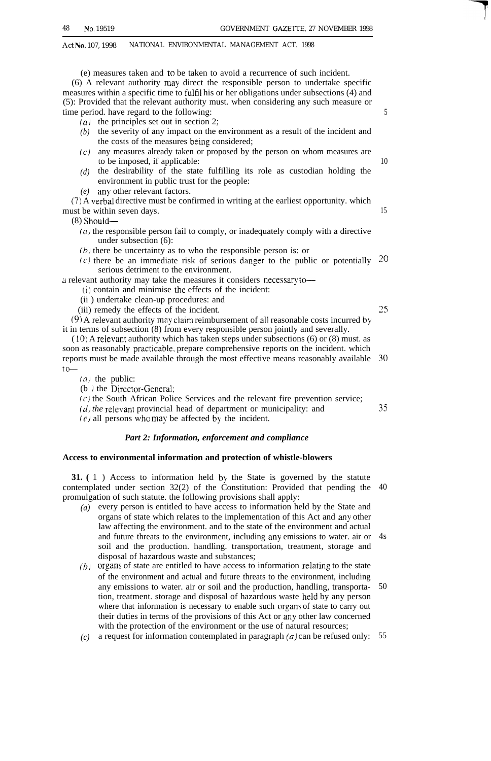(e) measures taken and to be taken to avoid a recurrence of such incident.

(6) A relevant authority may direct the responsible person to undertake specific measures within a specific time to fulfil his or her obligations under subsections (4) and (5): Provided that the relevant authority must. when considering any such measure or time period. have regard to the following:

- *(a)* the principles set out in section 2;
- *(b)* the severity of any impact on the environment as a result of the incident and the costs of the measures being considered;
- *(c)* any measures already taken or proposed by the person on whom measures are to be imposed, if applicable:
- *(d)* the desirability of the state fulfilling its role as custodian holding the environment in public trust for the people:
- *(e)* any other relevant factors.

 $(7)$  A verbal directive must be confirmed in writing at the earliest opportunity. which must be within seven days.

(8) Should—

- *(a)* the responsible person fail to comply, or inadequately comply with a directive under subsection (6):
- *(b)* there be uncertainty as to who the responsible person is: or
- (c) there be an immediate risk of serious danger to the public or potentially serious detriment to the environment. ~o

a relevant authority may take the measures it considers necessary to—

- (i) contain and minimise tbe effects of the incident:
- (ii ) undertake clean-up procedures: and
- (iii) remedy the effects of the incident.

(9) A relevant authority may claim reimbursement of all reasonable costs incurred by it in terms of subsection (8) from every responsible person jointly and severally.

 $(10)$  A relevant authority which has taken steps under subsections (6) or (8) must. as soon as reasonably practicable, prepare comprehensive reports on the incident. which reports must be made available through the most effective means reasonably available  $f \cap$ 30

 $(a)$  the public:

(b J the Director-Generdl:

(c) the South African Police Services and the relevant fire prevention service;

*(d) the relevant provincial head of department or municipality: and*  $(e)$  all persons who may be affected by the incident.

#### *Part 2: Information, enforcement and compliance*

#### **Access to environmental information and protection of whistle-blowers**

**31. (** 1 ) Access to information held by the State is governed by the statute contemplated under section 32(2) of the Constitution: Provided that pending the promulgation of such statute. the following provisions shall apply: 40

- *(a)* every person is entitled to have access to information held by the State and organs of state which relates to the implementation of this Act and any other law affecting the environment. and to the state of the environment and actual and future threats to the environment, including any emissions to water. air or soil and the production. handling. transportation, treatment, storage and disposal of hazardous waste and substances; 4s
- $(b)$  organs of state are entitled to have access to information relating to the state of the environment and actual and future threats to the environment, including any emissions to water. air or soil and the production, handling, transportation, treatment. storage and disposal of hazardous waste held by any person where that information is necessary to enable such organs of state to carry out their duties in terms of the provisions of this Act or any other law concerned with the protection of the environment or the use of natural resources; 50
- *(c)* a request for information contemplated in paragraph *(a)* can be refused only: 55

10

15

5

25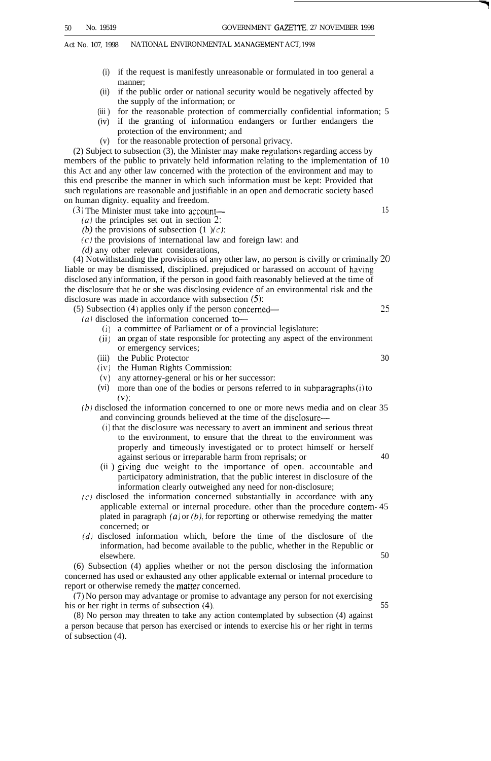- (i) if the request is manifestly unreasonable or formulated in too general a manner;
- (ii) if the public order or national security would be negatively affected by the supply of the information; or
- (iii) for the reasonable protection of commercially confidential information; 5
- (iv) if the granting of information endangers or further endangers the
	- protection of the environment; and
- (v) for the reasonable protection of personal privacy.

 $(2)$  Subject to subsection  $(3)$ , the Minister may make regulations regarding access by members of the public to privately held information relating to the implementation of 10 this Act and any other law concerned with the protection of the environment and may to this end prescribe the manner in which such information must be kept: Provided that such regulations are reasonable and justifiable in an open and democratic society based on human dignity. equality and freedom.

- $(3)$  The Minister must take into account— 15
	- *(a)* the principles set out in section 2:
	- *(b)* the provisions of subsection  $(1)$   $(c)$ ;
	- $(c)$  the provisions of international law and foreign law: and
	- *(d)* any other relevant considerations,

(4) Notwithstanding the provisions of any other law, no person is civilly or criminally 20 liable or may be dismissed, disciplined. prejudiced or harassed on account of having disclosed any information, if the person in good faith reasonably believed at the time of the disclosure that he or she was disclosing evidence of an environmental risk and the disclosure was made in accordance with subsection (5):

- (5) Subsection (4) applies only if the person concemed— 25  $(a)$  disclosed the information concerned to-
	- (i) a committee of Parliament or of a provincial legislature:
	- (ii) an organ of state responsible for protecting any aspect of the environment or emergency services;
	- (iii) the Public Protector
	- (iv) the Human Rights Commission:
	- (v) any attorney-general or his or her successor:
	- $(vi)$  more than one of the bodies or persons referred to in subparagraphs $(i)$  to  $(v)$ :
	- (b) disclosed the information concerned to one or more news media and on clear 35 and convincing grounds believed at the time of the disclosure—
		- (i) that the disclosure was necessary to avert an imminent and serious threat to the environment, to ensure that the threat to the environment was properly and timeously investigated or to protect himself or herself against serious or irreparable harm from reprisals; or 40
		- (ii ) giving due weight to the importance of open. accountable and participatory administration, that the public interest in disclosure of the information clearly outweighed any need for non-disclosure;
	- $(c)$  disclosed the information concerned substantially in accordance with any applicable external or internal procedure. other than the procedure contem- 45 plated in paragraph  $(a)$  or  $(b)$ , for reporting or otherwise remedying the matter concerned; or
	- *(d)* disclosed information which, before the time of the disclosure of the information, had become available to the public, whether in the Republic or elsewhere. 50

(6) Subsection (4) applies whether or not the person disclosing the information concerned has used or exhausted any other applicable external or internal procedure to report or otherwise remedy the matter concerned.

(7) No person may advantage or promise to advantage any person for not exercising his or her right in terms of subsection (4). 55

(8) No person may threaten to take any action contemplated by subsection (4) against a person because that person has exercised or intends to exercise his or her right in terms of subsection (4).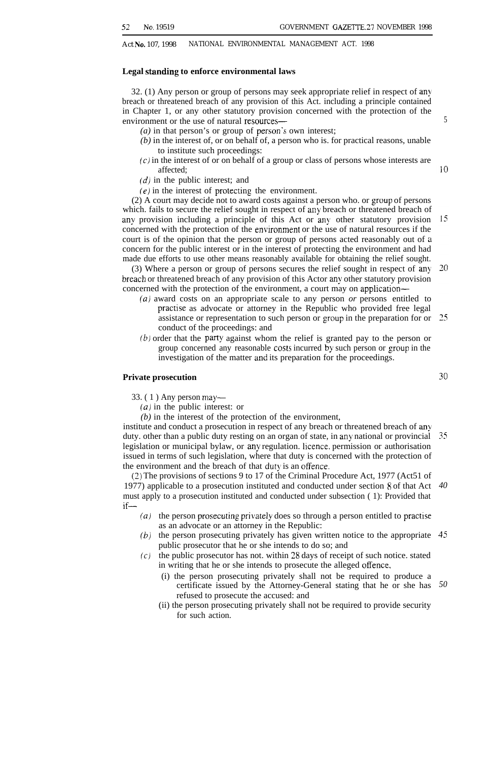#### **Legal standing to enforce environmental laws**

32. (1) Any person or group of persons may seek appropriate relief in respect of any breach or threatened breach of any provision of this Act. including a principle contained in Chapter 1, or any other statutory provision concerned with the protection of the environment or the use of natural resources—

- $(a)$  in that person's or group of person's own interest;
- *(b)* in the interest of, or on behalf of, a person who is. for practical reasons, unable to institute such proceedings:
- $(c)$  in the interest of or on behalf of a group or class of persons whose interests are affected;
- *(d)* in the public interest; and
- $(e)$  in the interest of protecting the environment.

(2) A court may decide not to award costs against a person who. or group of persons which. fails to secure the relief sought in respect of any breach or threatened breach of 15 any provision including a principle of this Act or any other statutory provision concerned with the protection of the environment or the use of natural resources if the court is of the opinion that the person or group of persons acted reasonably out of a concern for the public interest or in the interest of protecting the environment and had made due efforts to use other means reasonably available for obtaining the relief sought.

(3) Where a person or group of persons secures the relief sought in respect of any 20 breach or threatened breach of any provision of this Actor any other statutory provision concerned with the protection of the environment, a court may on application—

- *(a)* award costs on an appropriate scale to any person *or* persons entitled to practise as advocate or attorney in the Republic who provided free legal assistance or representation to such person or group in the preparation for or 25 conduct of the proceedings: and
- *(b)* order that the party against whom the relief is granted pay to the person or group concerned any reasonable costs incurred by such person or group in the investigation of the matter and its preparation for the proceedings.

#### **Private prosecution**

33. ( 1 ) Any person may—

- *(a)* in the public interest: or
- *(b)* in the interest of the protection of the environment,

institute and conduct a prosecution in respect of any breach or threatened breach of any duty. other than a public duty resting on an organ of state, in any national or provincial legislation or municipal bylaw, or any regulation. Iicence, permission or authorisation issued in terms of such legislation, where that duty is concerned with the protection of the environment and the breach of that duty is an offence. 35

(2) The provisions of sections 9 to 17 of the Criminal Procedure Act, 1977 (Act51 of 1977) applicable to a prosecution instituted and conducted under section 8 of that Act must apply to a prosecution instituted and conducted under subsection ( 1): Provided that  $if$ *40*

- (a) the person prosecuting privately does so through a person entitled to practise as an advocate or an attorney in the Republic:
- (b) the person prosecuting privately has given written notice to the appropriate 45 public prosecutor that he or she intends to do so; and
- *(c)* the public prosecutor has not. within 28 days of receipt of such notice. stated in writing that he or she intends to prosecute the alleged offence,
	- (i) the person prosecuting privately shall not be required to produce a certificate issued by the Attorney-General stating that he or she has refused to prosecute the accused: and *50*
	- (ii) the person prosecuting privately shall not be required to provide security for such action.

5

10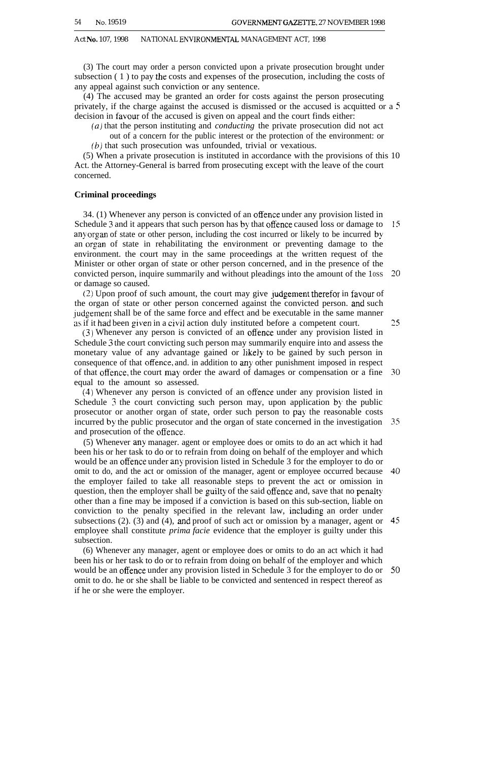(3) The court may order a person convicted upon a private prosecution brought under subsection ( 1 ) to pay the costs and expenses of the prosecution, including the costs of any appeal against such conviction or any sentence.

(4) The accused may be granted an order for costs against the person prosecuting privately, if the charge against the accused is dismissed or the accused is acquitted or a 5 decision in favour of the accused is given on appeal and the court finds either:

- *(a)* that the person instituting and *conducting* the private prosecution did not act
	- out of a concern for the public interest or the protection of the environment: or
- $(b)$  that such prosecution was unfounded, trivial or vexatious.

(5) When a private prosecution is instituted in accordance with the provisions of this 10 Act. the Attorney-General is barred from prosecuting except with the leave of the court concerned.

#### **Criminal proceedings**

34. (1) Whenever any person is convicted of an offence under any provision listed in Schedule 3 and it appears that such person has by that offence caused loss or damage to  $15$ any organ of state or other person, including the cost incurred or likely to be incurred by an organ of state in rehabilitating the environment or preventing damage to the environment. the court may in the same proceedings at the written request of the Minister or other organ of state or other person concerned, and in the presence of the convicted person, inquire summarily and without pleadings into the amount of the 10SS 20 or damage so caused.

(2) Upon proof of such amount, the court may give judgement therefor in favour of the organ of state or other person concerned against the convicted person. md such judgement shall be of the same force and effect and be executable in the same manner as if it had been given in a civil action duly instituted before a competent court.

(3) Whenever any person is convicted of an offence under any provision listed in Schedule 3 the court convicting such person may summarily enquire into and assess the monetary value of any advantage gained or likely to be gained by such person in consequence of that offence, and. in addition to any other punishment imposed in respect of that offence, the court may order the award of damages or compensation or a fine  $30$ equal to the amount so assessed.

(4) Whenever any person is convicted of an offence under any provision listed in Schedule 3 the court convicting such person may, upon application by the public prosecutor or another organ of state, order such person to pay the reasonable costs incurred by the public prosecutor and the organ of state concerned in the investigation 35 and prosecution of the offence.

(5) Whenever any manager. agent or employee does or omits to do an act which it had been his or her task to do or to refrain from doing on behalf of the employer and which would be an offence under any provision listed in Schedule 3 for the employer to do or omit to do, and the act or omission of the manager, agent or employee occurred because 40 the employer failed to take all reasonable steps to prevent the act or omission in question, then the employer shall be guilty of the said offence and, save that no penalty other than a fine may be imposed if a conviction is based on this sub-section, liable on conviction to the penalty specified in the relevant law, including an order under subsections (2). (3) and (4), and proof of such act or omission by a manager, agent or 45 employee shall constitute *prima facie* evidence that the employer is guilty under this subsection.

(6) Whenever any manager, agent or employee does or omits to do an act which it had been his or her task to do or to refrain from doing on behalf of the employer and which would be an offence under any provision listed in Schedule 3 for the employer to do or 50 omit to do. he or she shall be liable to be convicted and sentenced in respect thereof as if he or she were the employer.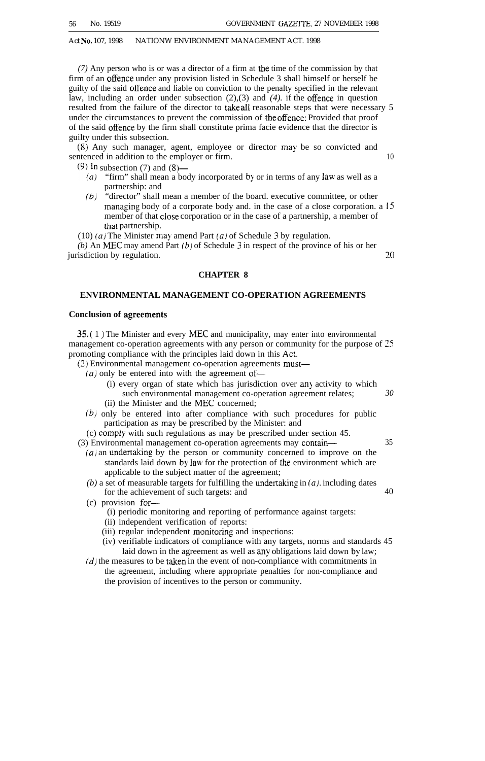(7) Any person who is or was a director of a firm at the time of the commission by that firm of an offence under any provision listed in Schedule 3 shall himself or herself be guilty of the said offence and liable on conviction to the penalty specified in the relevant law, including an order under subsection (2),(3) and *(4).* if the offence in question resulted from the failure of the director to take all reasonable steps that were necessary 5 under the circumstances to prevent the commission of tie offence: Provided that proof of the said offence by the firm shall constitute prima facie evidence that the director is guilty under this subsection.

(8) Any such manager, agent, employee or director may be so convicted and sentenced in addition to the employer or firm. 10

(9) In subsection (7) and  $(8)$ —

- $(a)$  "firm" shall mean a body incorporated by or in terms of any law as well as a partnership: and
- *(b)* "director" shall mean a member of the board. executive committee, or other managing body of a corporate body and. in the case of a close corporation. a  $15$ member of that close corporation or in the case of a partnership, a member of that partnership.
- (10) *(a)* The Minister may amend Part *(a)* of Schedule 3 by regulation.

*(b)* An MEC may amend Part *(b)* of Schedule 3 in respect of the province of his or her jurisdiction by regulation. 20

#### **CHAPTER 8**

#### **ENVIRONMENTAL MANAGEMENT CO-OPERATION AGREEMENTS**

#### **Conclusion of agreemenk**

35. (1) The Minister and every MEC and municipality, may enter into environmental management co-operation agreements with any person or community for the purpose of 25 promoting compliance with the principles laid down in this Act.

(2) Environmental management co-operation agreements must—

- *(a)* only be entered into with the agreement of—
	- (i) every organ of state which has jurisdiction over an) activity to which such environmental management co-operation agreement relates; *30*
	- (ii) the Minister and the MEC concerned;
- (b) only be entered into after compliance with such procedures for public participation as may be prescribed by the Minister: and
- (c) comply with such regulations as may be prescribed under section 45.

(3) Environmental management co-operation agreements may contain— 35

- $(a)$  an undertaking by the person or community concerned to improve on the standards laid down by law for the protection of the environment which are applicable to the subject matter of the agreement;
- $(b)$  a set of measurable targets for fulfilling the undertaking in  $(a)$ , including dates for the achievement of such targets: and 40
- (c) provision for—
	- (i) periodic monitoring and reporting of performance against targets:
	- (ii) independent verification of reports:
	- (iii) regular independent monitoring and inspections:
	- (iv) verifiable indicators of compliance with any targets, norms and standards 45 laid down in the agreement as well as any obligations laid down by law;
- $(d)$  the measures to be taken in the event of non-compliance with commitments in the agreement, including where appropriate penalties for non-compliance and the provision of incentives to the person or community.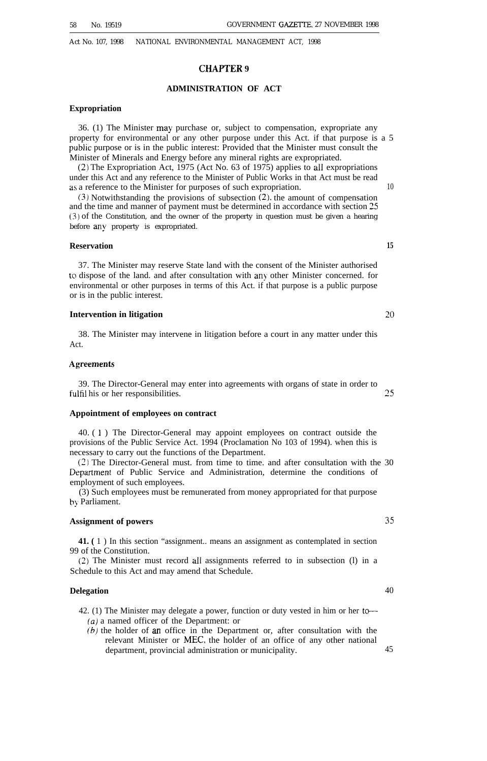#### **CHAPTER 9**

#### **ADMINISTRATION OF ACT**

#### **Expropriation**

36. (1) The Minister may purchase or, subject to compensation, expropriate any property for environmental or any other purpose under this Act. if that purpose is a 5 public purpose or is in the public interest: Provided that the Minister must consult the Minister of Minerals and Energy before any mineral rights are expropriated.

(2) The Expropriation Act, 1975 (Act No. 63 of 1975) applies to all expropriations under this Act and any reference to the Minister of Public Works in that Act must be read as a reference to the Minister for purposes of such expropriation. 10

(3) Notwithstanding the provisions of subsection (2). the amount of compensation and the time and manner of payment must be determined in accordance with section 25 (3) of the Constitution, and the owner of the property in question must be given a hearing before any property is expropriated.

#### **Reservation 15**

37. The Minister may reserve State land with the consent of the Minister authorised to dispose of the land. and after consultation with any other Minister concerned. for environmental or other purposes in terms of this Act. if that purpose is a public purpose or is in the public interest.

#### **Intervention in litigation**

38. The Minister may intervene in litigation before a court in any matter under this Act.

#### **Agreements**

39. The Director-General may enter into agreements with organs of state in order to fulfil his or her responsibilities. 25

#### **Appointment of employees on contract**

40. ( 1 ) The Director-General may appoint employees on contract outside the provisions of the Public Service Act. 1994 (Proclamation No 103 of 1994). when this is necessary to carry out the functions of the Department.

(2) The Director-General must. from time to time. and after consultation with the 30 Department of Public Service and Administration, determine the conditions of employment of such employees.

(3) Such employees must be remunerated from money appropriated for that purpose by Parliament.

#### **Assignment of powers 35**

**41. (** 1 ) In this section "assignment.. means an assignment as contemplated in section 99 of the Constitution.

(2) The Minister must record all assignments referred to in subsection (l) in a Schedule to this Act and may amend that Schedule.

#### **Delegation** 40

- 42. (1) The Minister may delegate a power, function or duty vested in him or her to-(a) a named officer of the Department: or
	- $(b)$  the holder of an office in the Department or, after consultation with the relevant Minister or MEC, the holder of an office of any other national department, provincial administration or municipality. 45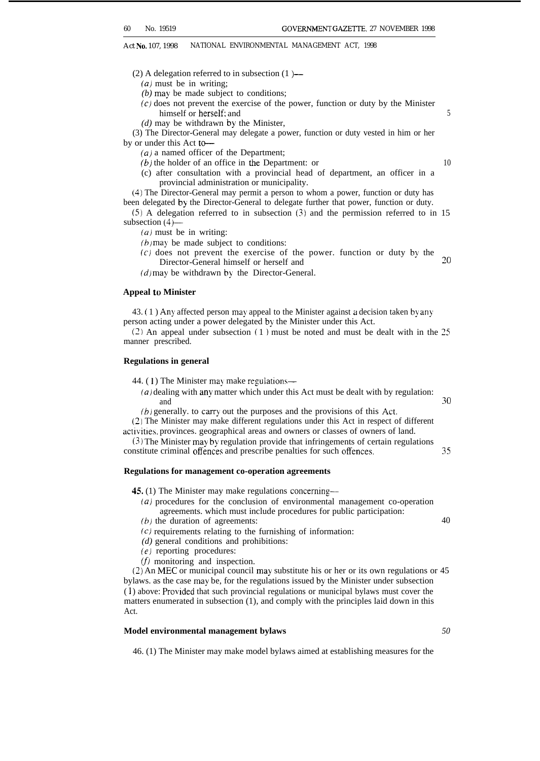(2) A delegation referred to in subsection  $(1)$ —

- *(a)* must be in writing;
- *(b)* may be made subject to conditions;
- $(c)$  does not prevent the exercise of the power, function or duty by the Minister himself or herself; and 5

*(d)* may be withdrawn by the Minister, (3) The Director-General may delegate a power, function or duty vested in him or her by or under this Act to-

- *(a)* a named officer of the Department;
- $(b)$  the holder of an office in the Department: or  $10$
- (c) after consultation with a provincial head of department, an officer in a provincial administration or municipality.

(4) The Director-General may permit a person to whom a power, function or duty has been delegated by the Director-General to delegate further that power, function or duty.

(5) A delegation referred to in subsection (3) and the permission referred to in 15 subsection (4)—

*(a)* must be in writing:

*(b)* may be made subject to conditions:

(c) does not prevent the exercise of the power. function or duty by the Director-General himself or herself and  $20$ 

*(d)* may be withdrawn by the Director-General.

#### **Appeal to Minister**

43. ( 1 ) Any affected person may appeal to the Minister against a decision taken by any person acting under a power delegated by the Minister under this Act.

(2) An appeal under subsection ( 1 ) must be noted and must be dealt with in the 25 manner prescribed.

#### **Regulations in general**

44. (1) The Minister may make regulations—

- *(a)* dealing with any matter which under this Act must be dealt with by regulation: and  $30$
- *(b)* generally. to carry out the purposes and the provisions of this Act.

(2) The Minister may make different regulations under this Act in respect of different activities, provinces. geographical areas and owners or classes of owners of land.

(3) The Minister may by regulation provide that infringements of certain regulations constitute criminal offences and prescribe penalties for such offences. 35

#### **Regulations for management co-operation agreements**

45. (1) The Minister may make regulations concerning—

- (a) procedures for the conclusion of environmental management co-operation agreements. which must include procedures for public participation:
- *(b)* the duration of agreements: 40
- $(c)$  requirements relating to the furnishing of information:
- *(d)* general conditions and prohibitions:
- (e) reporting procedures:
- (f) monitoring and inspection.

(2) An MEC or municipal council may substitute his or her or its own regulations or 45 bylaws. as the case may be, for the regulations issued by the Minister under subsection  $(1)$  above: Provided that such provincial regulations or municipal bylaws must cover the matters enumerated in subsection (1), and comply with the principles laid down in this Act.

#### **Model environmental management bylaws** *50*

46. (1) The Minister may make model bylaws aimed at establishing measures for the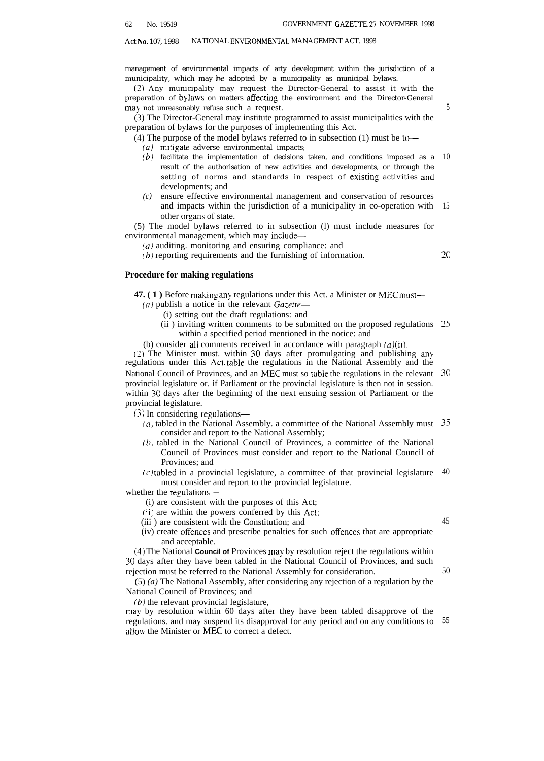management of environmental impacts of arty development within the jurisdiction of a municipality, which may be adopted by a municipality as municipal bylaws.

(2) Any municipality may request the Director-General to assist it with the preparation of bylaws on matters affecting the environment and the Director-General may not unreasonably refuse such a request.

(3) The Director-General may institute programmed to assist municipalities with the preparation of bylaws for the purposes of implementing this Act.

(4) The purpose of the model bylaws referred to in subsection (1) must be to-

- (a) mitigate adverse environmental impacts;
- $(b)$  facilitate the implementation of decisions taken, and conditions imposed as a result of the authorisation of new activities and developments, or through the setting of norms and standards in respect of existing activities and developments; and 10
- *(c)* ensure effective environmental management and conservation of resources and impacts within the jurisdiction of a municipality in co-operation with other organs of state. 15

(5) The model bylaws referred to in subsection (l) must include measures for environmental management, which may include—

*(a)* auditing. monitoring and ensuring compliance: and

(b) reporting requirements and the furnishing of information.

20

5

#### **Procedure for making regulations**

**47. (1)** Before making any regulations under this Act. a Minister or MEC must—

- (*a*) publish a notice in the relevant *Gazette*
	- (i) setting out the draft regulations: and
	- (ii ) inviting written comments to be submitted on the proposed regulations within a specified period mentioned in the notice: and 25
- (b) consider all comments received in accordance with paragraph *(a)(ii).*

*(2)* The Minister must. within 30 days after promulgating and publishing any regulations under this Act. table the regulations in the National Assembly and the National Council of Provinces, and an MEC must so table the regulations in the relevant provincial legislature or. if Parliament or the provincial legislature is then not in session. within 30 days after the beginning of the next ensuing session of Parliament or the provincial legislature. 30

(3) In considering regulations—

- *(a)* tabled in the National Assembly. a committee of the National Assembly must 35 consider and report to the National Assembly;
- (b) tabled in the National Council of Provinces, a committee of the National Council of Provinces must consider and report to the National Council of Provinces; and
- $\left(\frac{c}{\tan \theta}\right)$  tabled in a provincial legislature, a committee of that provincial legislature 40 must consider and report to the provincial legislature.

whether the regulations—

- (i) are consistent with the purposes of this Act;
- (ii) are within the powers conferred by this Act:
- (iii ) are consistent with the Constitution; and
- (iv) create offences and prescribe penalties for such offences that are appropriate and acceptable.

(4) The National **Council of** Provinces may by resolution reject the regulations within 30 days after they have been tabled in the National Council of Provinces, and such rejection must be referred to the National Assembly for consideration.

(5) *(a)* The National Assembly, after considering any rejection of a regulation by the National Council of Provinces; and

*(b)* the relevant provincial legislature,

may by resolution within 60 days after they have been tabled disapprove of the regulations. and may suspend its disapproval for any period and on any conditions to 55allow the Minister or MEC to correct a defect.

45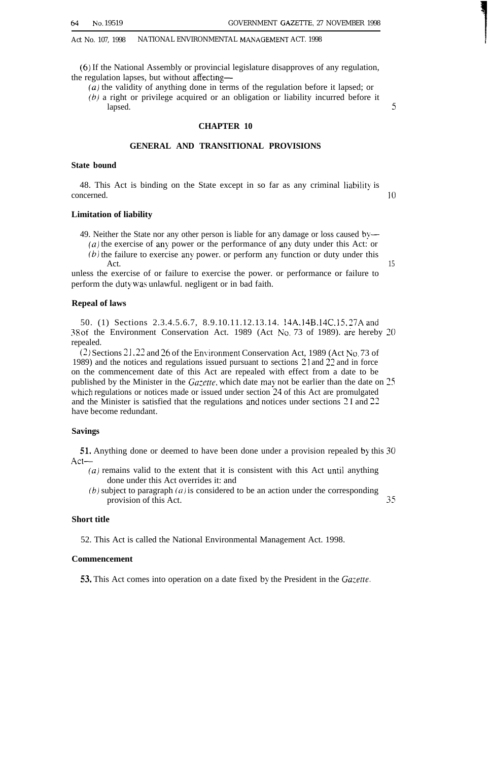(6) If the National Assembly or provincial legislature disapproves of any regulation, the regulation lapses, but without affecting—

(a) the validity of anything done in terms of the regulation before it lapsed; or  $(b)$  a right or privilege acquired or an obligation or liability incurred before it lapsed. 5

#### **CHAPTER 10**

#### **GENERAL AND TRANSITIONAL PROVISIONS**

#### **State bound**

48. This Act is binding on the State except in so far as any criminal liability is concerned. The concerned of the concerned of the concerned of the concerned of the concerned of the concerned of the concerned of the concerned of the concerned of the concerned of the concerned of the concerned of the con

#### **Limitation of liability**

- 49. Neither the State nor any other person is liable for any damage or loss caused by—  $(a)$  the exercise of any power or the performance of any duty under this Act: or
	- $(b)$  the failure to exercise any power. or perform any function or duty under this Act. 15

unless the exercise of or failure to exercise the power. or performance or failure to perform the duty was unlawful. negligent or in bad faith.

#### **Repeal of laws**

50. (1) Sections 2.3.4.5.6.7, 8.9.10.11.12.13.14. 14A, 14B, 14C, 15, 27A and 38 of the Environment Conservation Act. 1989 (Act No, 73 of 1989). are hereby 20 repealed.

 $(2)$  Sections  $21.22$  and  $26$  of the Environment Conservation Act, 1989 (Act No. 73 of 1989) and the notices and regulations issued pursuant to sections 21 and 22 and in force on the commencement date of this Act are repealed with effect from a date to be published by the Minister in the *Ga:etre.* which date may not be earlier than the date on 25 which regulations or notices made or issued under section 24 of this Act are promulgated and the Minister is satisfied that the regulations and notices under sections 2 I and 22 have become redundant.

#### **Savings**

**51.** Anything done or deemed to have been done under a provision repealed by this 30 Act—

- $(a)$  remains valid to the extent that it is consistent with this Act until anything done under this Act overrides it: and
- (b) subject to paragraph (*a*) is considered to be an action under the corresponding provision of this Act. 35

#### **Short title**

52. This Act is called the National Environmental Management Act. 1998.

#### **Commencement**

j3. This Act comes into operation on a date fixed by the President in the *Gazette.*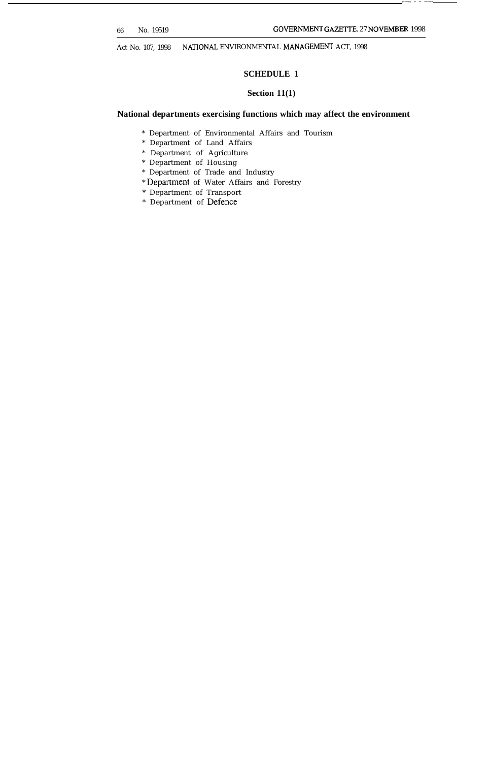.—.. . . ..—

Act No. 107, 1998 NATIONAL ENVIRONMENTAL MANAGEMENT ACT, 1998

#### **SCHEDULE 1**

#### **Section 11(1)**

#### **National departments exercising functions which may affect the environment**

- \* Department of Environmental Affairs and Tourism
- \* Department of Land Affairs
- \* Department of Agriculture
- \* Department of Housing
- \* Department of Trade and Industry
- \* Department of Water Affairs and Forestry
- \* Department of Transport
- \* Department of Defence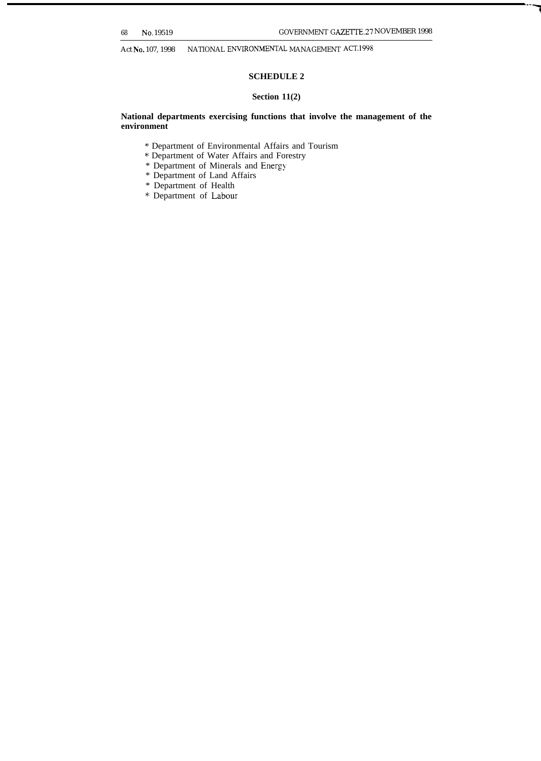. . . .7

Act No. 107, 1998 NATIONAL ENVIRONMENTAL MANAGEMENT ACT. 1998

#### **SCHEDULE 2**

#### **Section 11(2)**

#### **National departments exercising functions that involve the management of the environment**

- \* Department of Environmental Affairs and Tourism
- \* Department of Water Affairs and Forestry
- \* Department of Minerals and Energy
- \* Department of Land Affairs
- \* Department of Health
- \* Department of Labour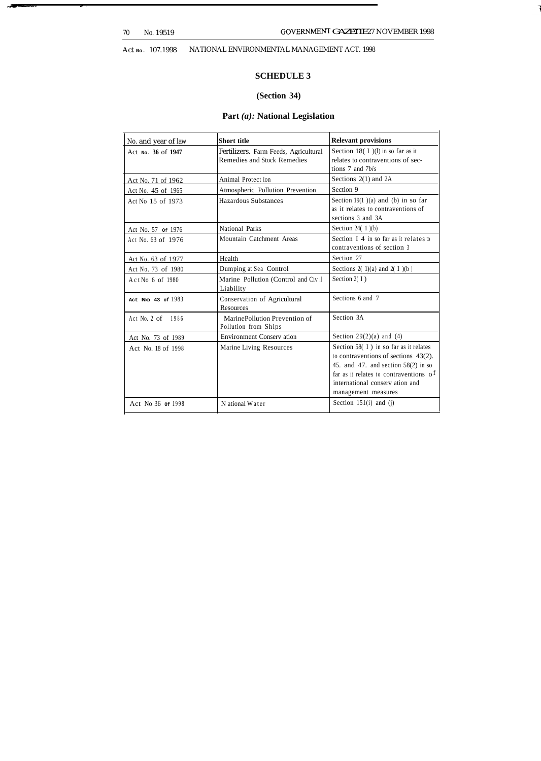**A—- - .- -**

Act **No.** 107.1998 NATIONAL ENVIRONMENTAL MANAGEMENT ACT. 1998

#### **SCHEDULE 3**

#### **(Section 34)**

#### **Part** *(a):* **National Legislation**

| No. and year of law   | Short title                           | <b>Relevant provisions</b>                            |
|-----------------------|---------------------------------------|-------------------------------------------------------|
| Act No. 36 of 1947    | Fertilizers. Farm Feeds, Agricultural | Section 18( $I$ )(l) in so far as it                  |
|                       | Remedies and Stock Remedies           | relates to contraventions of sec-<br>tions 7 and 7bis |
|                       | Animal Protect ion                    | Sections $2(1)$ and $2A$                              |
| Act No. 71 of 1962    |                                       |                                                       |
| Act No. 45 of 1965    | Atmospheric Pollution Prevention      | Section 9                                             |
| Act No. 15 of 1973    | Hazardous Substances                  | Section $19(1)$ (a) and (b) in so far                 |
|                       |                                       | as it relates to contraventions of                    |
|                       |                                       | sections 3 and 3A                                     |
| Act No. 57 of 1976    | National Parks                        | Section 24 $(1)(b)$                                   |
| Act No. 63 of 1976    | Mountain Catchment Areas              | Section $I_4$ in so far as it relates to              |
|                       |                                       | contraventions of section 3                           |
| Act No. 63 of 1977    | Health                                | Section 27                                            |
| Act No. 73 of 1980    | Dumping at Sea Control                | Sections 2(1)(a) and 2(1)(b)                          |
| $ActNo$ 6 of 1980     | Marine Pollution (Control and Civil   | Section $2(1)$                                        |
|                       | Liability                             |                                                       |
| Act. No. 43 of $1983$ | Conservation of Agricultural          | Sections 6 and 7                                      |
|                       | Resources                             |                                                       |
| Act No. 2 of 1986     | MarinePollution Prevention of         | Section 3A                                            |
|                       | Pollution from Ships                  |                                                       |
| Act No. 73 of 1989    | <b>Environment Conservation</b>       | Section $29(2)(a)$ and $(4)$                          |
| Act No. 18 of 1998    | Marine Living Resources               | Section $58(1)$ in so far as it relates               |
|                       |                                       | to contraventions of sections $43(2)$ .               |
|                       |                                       | 45. and 47. and section $58(2)$ in so                 |
|                       |                                       | far as it relates to contraventions of                |
|                       |                                       | international conservation and                        |
|                       |                                       | management measures                                   |
| Act No 36 of 1998     | N ational Water                       | Section $151(i)$ and $(i)$                            |